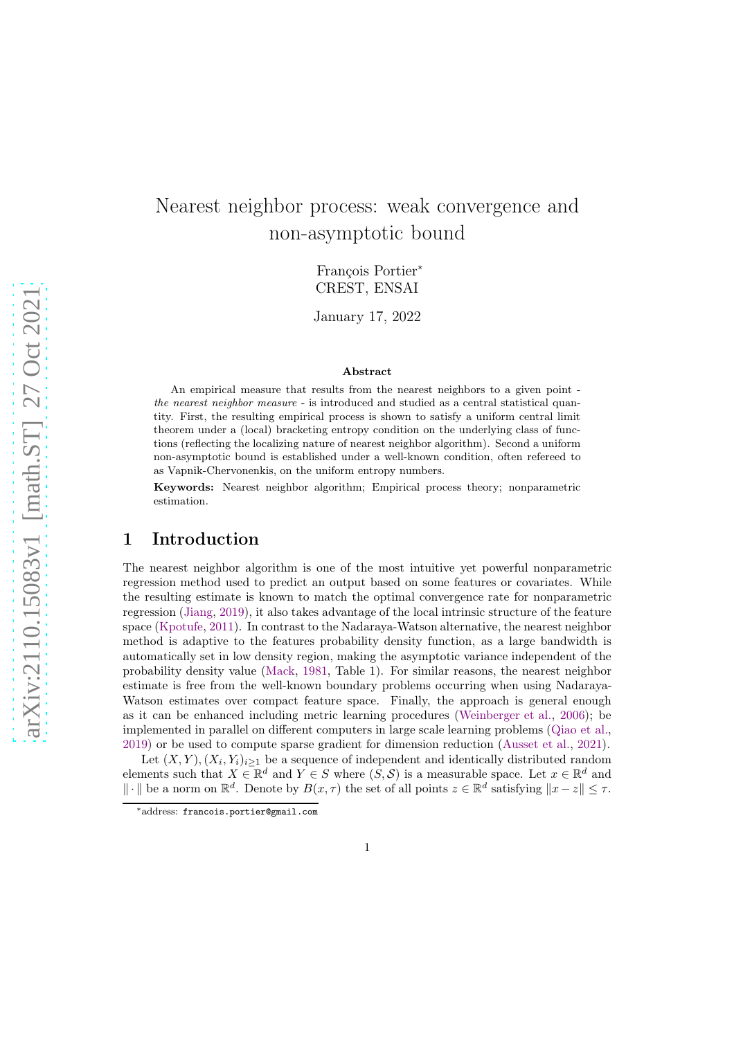# Nearest neighbor process: weak convergence and non-asymptotic bound

François Portier<sup>∗</sup> CREST, ENSAI

January 17, 2022

#### Abstract

An empirical measure that results from the nearest neighbors to a given point the nearest neighbor measure - is introduced and studied as a central statistical quantity. First, the resulting empirical process is shown to satisfy a uniform central limit theorem under a (local) bracketing entropy condition on the underlying class of functions (reflecting the localizing nature of nearest neighbor algorithm). Second a uniform non-asymptotic bound is established under a well-known condition, often refereed to as Vapnik-Chervonenkis, on the uniform entropy numbers.

Keywords: Nearest neighbor algorithm; Empirical process theory; nonparametric estimation.

# 1 Introduction

The nearest neighbor algorithm is one of the most intuitive yet powerful nonparametric regression method used to predict an output based on some features or covariates. While the resulting estimate is known to match the optimal convergence rate for nonparametric regression [\(Jiang,](#page-20-0) [2019\)](#page-20-0), it also takes advantage of the local intrinsic structure of the feature space [\(Kpotufe,](#page-20-1) [2011\)](#page-20-1). In contrast to the Nadaraya-Watson alternative, the nearest neighbor method is adaptive to the features probability density function, as a large bandwidth is automatically set in low density region, making the asymptotic variance independent of the probability density value [\(Mack](#page-20-2), [1981,](#page-20-2) Table 1). For similar reasons, the nearest neighbor estimate is free from the well-known boundary problems occurring when using Nadaraya-Watson estimates over compact feature space. Finally, the approach is general enough as it can be enhanced including metric learning procedures [\(Weinberger et al.](#page-21-0), [2006](#page-21-0)); be implemented in parallel on different computers in large scale learning problems [\(Qiao et al.,](#page-20-3) [2019\)](#page-20-3) or be used to compute sparse gradient for dimension reduction [\(Ausset et al.](#page-19-0), [2021](#page-19-0)).

Let  $(X, Y), (X_i, Y_i)_{i \geq 1}$  be a sequence of independent and identically distributed random elements such that  $X \in \mathbb{R}^d$  and  $Y \in S$  where  $(S, S)$  is a measurable space. Let  $x \in \mathbb{R}^d$  and  $\|\cdot\|$  be a norm on  $\mathbb{R}^d$ . Denote by  $B(x, \tau)$  the set of all points  $z \in \mathbb{R}^d$  satisfying  $\|x - z\| \leq \tau$ .

<sup>∗</sup>address: francois.portier@gmail.com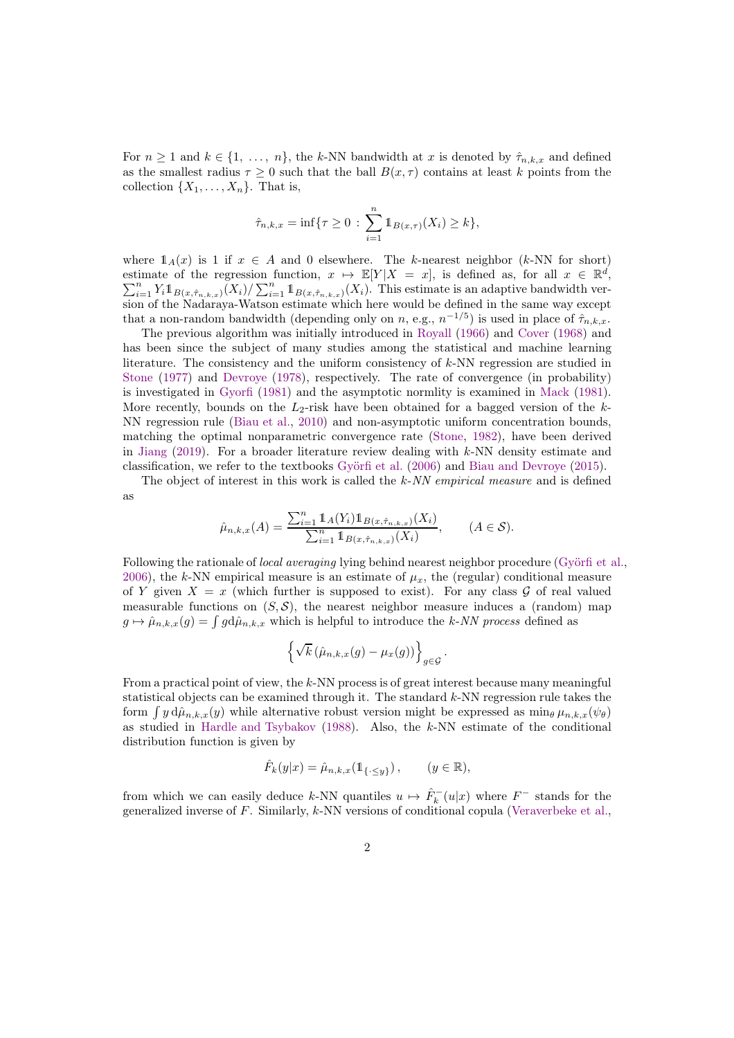For  $n \geq 1$  and  $k \in \{1, \ldots, n\}$ , the k-NN bandwidth at x is denoted by  $\hat{\tau}_{n,k,x}$  and defined as the smallest radius  $\tau > 0$  such that the ball  $B(x, \tau)$  contains at least k points from the collection  $\{X_1, \ldots, X_n\}$ . That is,

$$
\hat{\tau}_{n,k,x} = \inf \{ \tau \ge 0 \, : \, \sum_{i=1}^{n} \mathbb{1}_{B(x,\tau)}(X_i) \ge k \},
$$

where  $1_A(x)$  is 1 if  $x \in A$  and 0 elsewhere. The k-nearest neighbor (k-NN for short) estimate of the regression function,  $x \mapsto \mathbb{E}[Y|X = x]$ , is defined as, for all  $x \in \mathbb{R}^d$ estimate of the regression function,  $x \mapsto \mathbb{E}[Y|X = x]$ , is defined as, for all  $x \in \mathbb{R}^d$ ,  $\sum_{i=1}^n Y_i \mathbb{1}_{B(x,\hat{\tau}_{n,k,x})}(X_i) / \sum_{i=1}^n \mathbb{1}_{B(x,\hat{\tau}_{n,k,x})}(X_i)$ . This estimate is an adaptive bandwidth version of the Nadaraya-Watson estimate which here would be defined in the same way except that a non-random bandwidth (depending only on n, e.g.,  $n^{-1/5}$ ) is used in place of  $\hat{\tau}_{n,k,x}$ .

The previous algorithm was initially introduced in [Royall](#page-20-4) [\(1966](#page-20-4)) and [Cover](#page-19-1) [\(1968](#page-19-1)) and has been since the subject of many studies among the statistical and machine learning literature. The consistency and the uniform consistency of  $k$ -NN regression are studied in [Stone](#page-20-5) [\(1977](#page-20-5)) and [Devroye](#page-19-2) [\(1978](#page-19-2)), respectively. The rate of convergence (in probability) is investigated in [Gyorfi](#page-19-3) [\(1981\)](#page-19-3) and the asymptotic normlity is examined in [Mack](#page-20-2) [\(1981](#page-20-2)). More recently, bounds on the  $L_2$ -risk have been obtained for a bagged version of the k-NN regression rule [\(Biau et al.](#page-19-4), [2010\)](#page-19-4) and non-asymptotic uniform concentration bounds, matching the optimal nonparametric convergence rate [\(Stone,](#page-20-6) [1982\)](#page-20-6), have been derived in [Jiang](#page-20-0) [\(2019](#page-20-0)). For a broader literature review dealing with  $k$ -NN density estimate and classification, we refer to the textbooks [Györfi et al.](#page-20-7) [\(2006\)](#page-20-7) and [Biau and Devroye](#page-19-5) [\(2015\)](#page-19-5).

The object of interest in this work is called the k-NN empirical measure and is defined as

$$
\hat{\mu}_{n,k,x}(A) = \frac{\sum_{i=1}^{n} \mathbb{1}_{A}(Y_i) \mathbb{1}_{B(x,\hat{\tau}_{n,k,x})}(X_i)}{\sum_{i=1}^{n} \mathbb{1}_{B(x,\hat{\tau}_{n,k,x})}(X_i)}, \qquad (A \in \mathcal{S}).
$$

Following the rationale of *local averaging* lying behind nearest neighbor procedure [\(Györfi et al.,](#page-20-7) [2006\)](#page-20-7), the k-NN empirical measure is an estimate of  $\mu_x$ , the (regular) conditional measure of Y given  $X = x$  (which further is supposed to exist). For any class G of real valued measurable functions on  $(S, \mathcal{S})$ , the nearest neighbor measure induces a (random) map  $g \mapsto \hat{\mu}_{n,k,x}(g) = \int g d\hat{\mu}_{n,k,x}$  which is helpful to introduce the k-NN process defined as

$$
\left\{\sqrt{k}\left(\hat{\mu}_{n,k,x}(g)-\mu_x(g)\right)\right\}_{g\in\mathcal{G}}.
$$

From a practical point of view, the k-NN process is of great interest because many meaningful statistical objects can be examined through it. The standard  $k$ -NN regression rule takes the form  $\int y d\hat{\mu}_{n,k,x}(y)$  while alternative robust version might be expressed as  $\min_{\theta} \mu_{n,k,x}(\psi_{\theta})$ as studied in [Hardle and Tsybakov](#page-20-8) [\(1988\)](#page-20-8). Also, the k-NN estimate of the conditional distribution function is given by

$$
\hat{F}_k(y|x) = \hat{\mu}_{n,k,x}(\mathbb{1}_{\{\cdot \leq y\}}), \qquad (y \in \mathbb{R}),
$$

from which we can easily deduce k-NN quantiles  $u \mapsto \hat{F}_k^-(u|x)$  where  $F^-$  stands for the generalized inverse of  $F$ . Similarly,  $k$ -NN versions of conditional copula [\(Veraverbeke et al.,](#page-21-1)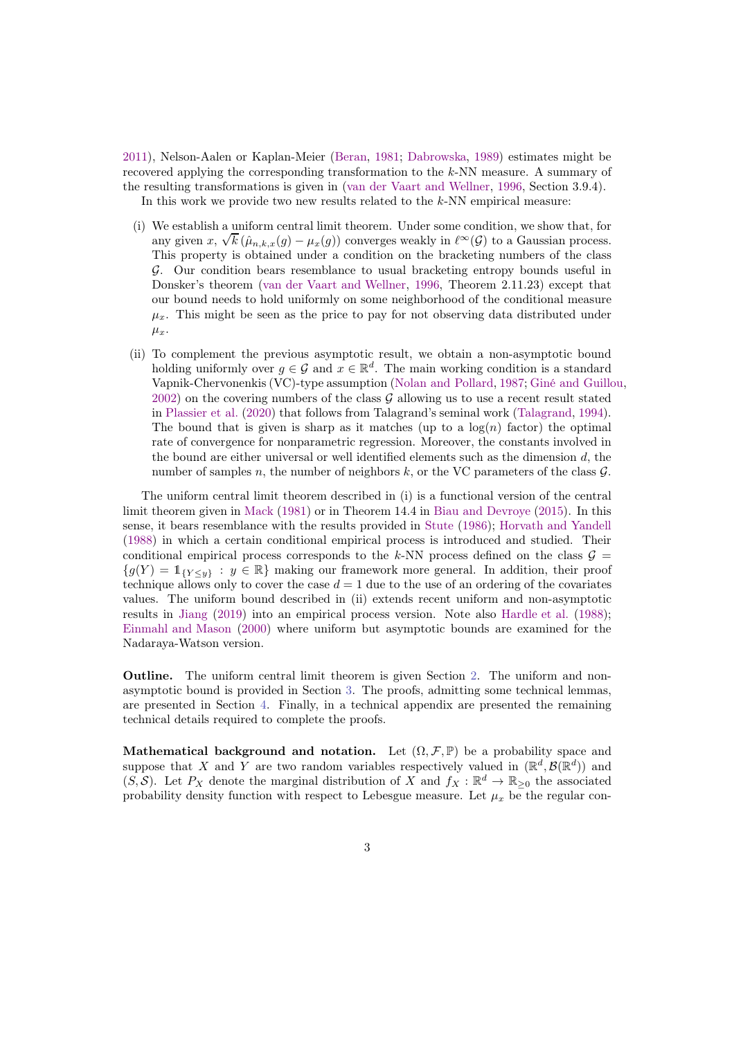[2011\)](#page-21-1), Nelson-Aalen or Kaplan-Meier [\(Beran](#page-19-6), [1981;](#page-19-6) [Dabrowska,](#page-19-7) [1989\)](#page-19-7) estimates might be recovered applying the corresponding transformation to the k-NN measure. A summary of the resulting transformations is given in [\(van der Vaart and Wellner](#page-21-2), [1996](#page-21-2), Section 3.9.4). In this work we provide two new results related to the  $k$ -NN empirical measure:

- (i) We establish a uniform central limit theorem. Under some condition, we show that, for any given  $x, \sqrt{k} (\hat{\mu}_{n,k,x}(g) - \mu_x(g))$  converges weakly in  $\ell^{\infty}(\mathcal{G})$  to a Gaussian process. This property is obtained under a condition on the bracketing numbers of the class G. Our condition bears resemblance to usual bracketing entropy bounds useful in Donsker's theorem [\(van der Vaart and Wellner](#page-21-2), [1996](#page-21-2), Theorem 2.11.23) except that our bound needs to hold uniformly on some neighborhood of the conditional measure  $\mu_x$ . This might be seen as the price to pay for not observing data distributed under  $\mu_x$ .
- (ii) To complement the previous asymptotic result, we obtain a non-asymptotic bound holding uniformly over  $g \in \mathcal{G}$  and  $x \in \mathbb{R}^d$ . The main working condition is a standard Vapnik-Chervonenkis (VC)-type assumption [\(Nolan and Pollard,](#page-20-9) [1987;](#page-20-9) [Giné and Guillou](#page-19-8), [2002](#page-19-8)) on the covering numbers of the class  $\mathcal G$  allowing us to use a recent result stated in [Plassier et al.](#page-20-10) [\(2020\)](#page-20-10) that follows from Talagrand's seminal work [\(Talagrand,](#page-20-11) [1994](#page-20-11)). The bound that is given is sharp as it matches (up to a  $log(n)$  factor) the optimal rate of convergence for nonparametric regression. Moreover, the constants involved in the bound are either universal or well identified elements such as the dimension  $d$ , the number of samples n, the number of neighbors  $k$ , or the VC parameters of the class  $\mathcal{G}$ .

The uniform central limit theorem described in (i) is a functional version of the central limit theorem given in [Mack](#page-20-2) [\(1981\)](#page-20-2) or in Theorem 14.4 in [Biau and Devroye](#page-19-5) [\(2015\)](#page-19-5). In this sense, it bears resemblance with the results provided in [Stute](#page-20-12) [\(1986\)](#page-20-12); [Horvath and Yandell](#page-20-13) [\(1988\)](#page-20-13) in which a certain conditional empirical process is introduced and studied. Their conditional empirical process corresponds to the k-NN process defined on the class  $\mathcal{G} =$  ${g(Y) = 1_{\{Y \leq y\}} : y \in \mathbb{R}\}\$  making our framework more general. In addition, their proof technique allows only to cover the case  $d = 1$  due to the use of an ordering of the covariates values. The uniform bound described in (ii) extends recent uniform and non-asymptotic results in [Jiang](#page-20-0) [\(2019](#page-20-0)) into an empirical process version. Note also [Hardle et al.](#page-20-14) [\(1988](#page-20-14)); [Einmahl and Mason](#page-19-9) [\(2000](#page-19-9)) where uniform but asymptotic bounds are examined for the Nadaraya-Watson version.

Outline. The uniform central limit theorem is given Section [2.](#page-3-0) The uniform and nonasymptotic bound is provided in Section [3.](#page-5-0) The proofs, admitting some technical lemmas, are presented in Section [4.](#page-7-0) Finally, in a technical appendix are presented the remaining technical details required to complete the proofs.

Mathematical background and notation. Let  $(\Omega, \mathcal{F}, \mathbb{P})$  be a probability space and suppose that X and Y are two random variables respectively valued in  $(\mathbb{R}^d, \mathcal{B}(\mathbb{R}^d))$  and  $(S, \mathcal{S})$ . Let  $P_X$  denote the marginal distribution of X and  $f_X : \mathbb{R}^d \to \mathbb{R}_{\geq 0}$  the associated probability density function with respect to Lebesgue measure. Let  $\mu_x$  be the regular con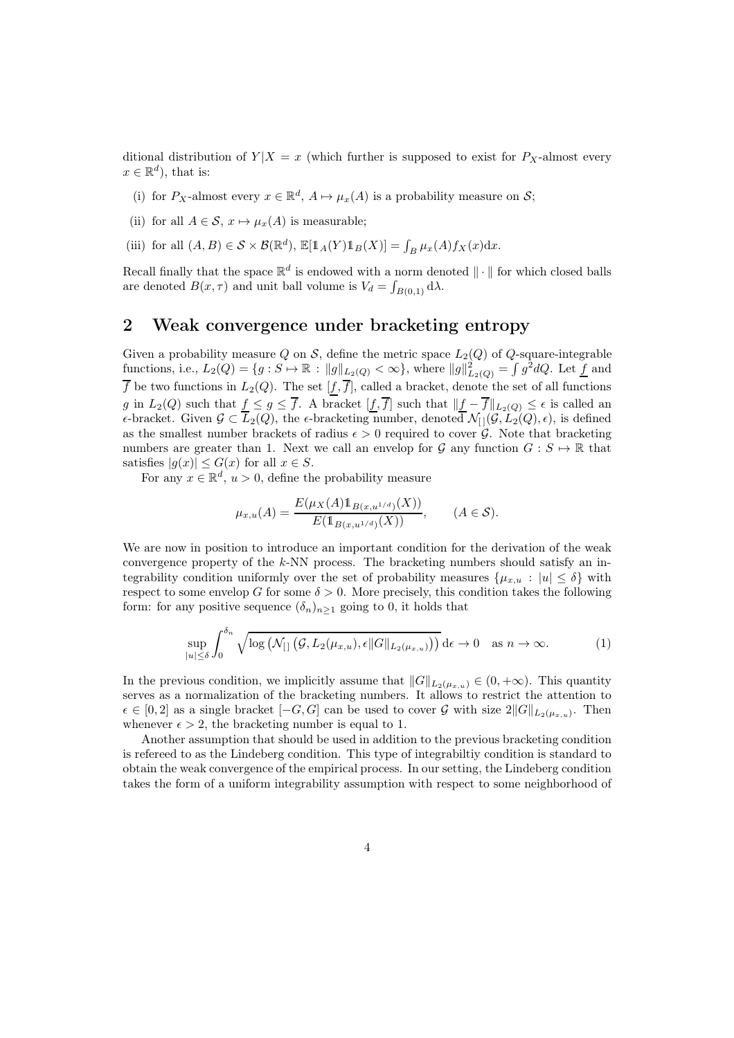ditional distribution of  $Y|X = x$  (which further is supposed to exist for  $P_X$ -almost every  $x \in \mathbb{R}^d$ , that is:

- (i) for  $P_X$ -almost every  $x \in \mathbb{R}^d$ ,  $A \mapsto \mu_x(A)$  is a probability measure on  $S$ ;
- (ii) for all  $A \in \mathcal{S}$ ,  $x \mapsto \mu_x(A)$  is measurable;
- (iii) for all  $(A, B) \in \mathcal{S} \times \mathcal{B}(\mathbb{R}^d)$ ,  $\mathbb{E}[\mathbb{1}_A(Y)\mathbb{1}_B(X)] = \int_B \mu_x(A) f_X(x) dx$ .

Recall finally that the space  $\mathbb{R}^d$  is endowed with a norm denoted  $\|\cdot\|$  for which closed balls are denoted  $B(x, \tau)$  and unit ball volume is  $V_d = \int_{B(0,1)} d\lambda$ .

# <span id="page-3-0"></span>2 Weak convergence under bracketing entropy

Given a probability measure Q on S, define the metric space  $L_2(Q)$  of Q-square-integrable functions, i.e.,  $L_2(Q) = \{g : S \mapsto \mathbb{R} : ||g||_{L_2(Q)} < \infty\}$ , where  $||g||^2_{L_2(Q)} = \int g^2 dQ$ . Let  $\underline{f}$  and  $\overline{f}$  be two functions in  $L_2(Q)$ . The set  $[f, \overline{f}]$ , called a bracket, denote the set of all functions g in  $L_2(Q)$  such that  $f \leq g \leq \overline{f}$ . A bracket  $[f, \overline{f}]$  such that  $||f - \overline{f}||_{L_2(Q)} \leq \epsilon$  is called an  $\epsilon$ -bracket. Given  $\mathcal{G} \subset \overline{L}_2(Q)$ , the  $\epsilon$ -bracketing number, denoted  $\mathcal{N}_{[1]}(\mathcal{G}, L_2(Q), \epsilon)$ , is defined as the smallest number brackets of radius  $\epsilon > 0$  required to cover  $\mathcal{G}$ . Note that bracketing numbers are greater than 1. Next we call an envelop for  $\mathcal G$  any function  $G : S \to \mathbb R$  that satisfies  $|g(x)| \leq G(x)$  for all  $x \in S$ .

For any  $x \in \mathbb{R}^d$ ,  $u > 0$ , define the probability measure

<span id="page-3-1"></span>
$$
\mu_{x,u}(A) = \frac{E(\mu_X(A) \mathbb{1}_{B(x,u^{1/d})}(X))}{E(\mathbb{1}_{B(x,u^{1/d})}(X))}, \qquad (A \in \mathcal{S}).
$$

We are now in position to introduce an important condition for the derivation of the weak convergence property of the k-NN process. The bracketing numbers should satisfy an integrability condition uniformly over the set of probability measures  $\{\mu_{x,u} : |u| \leq \delta\}$  with respect to some envelop G for some  $\delta > 0$ . More precisely, this condition takes the following form: for any positive sequence  $(\delta_n)_{n>1}$  going to 0, it holds that

$$
\sup_{|u| \leq \delta} \int_0^{\delta_n} \sqrt{\log \left( \mathcal{N}_{[]} \left( \mathcal{G}, L_2(\mu_{x,u}), \epsilon \| G \|_{L_2(\mu_{x,u})} \right) \right)} \, d\epsilon \to 0 \quad \text{as } n \to \infty.
$$
 (1)

In the previous condition, we implicitly assume that  $||G||_{L_2(\mu_{x,u})} \in (0, +\infty)$ . This quantity serves as a normalization of the bracketing numbers. It allows to restrict the attention to  $\epsilon \in [0,2]$  as a single bracket  $[-G,G]$  can be used to cover G with size  $2||G||_{L_2(\mu_{x,u})}$ . Then whenever  $\epsilon > 2$ , the bracketing number is equal to 1.

Another assumption that should be used in addition to the previous bracketing condition is refereed to as the Lindeberg condition. This type of integrabiltiy condition is standard to obtain the weak convergence of the empirical process. In our setting, the Lindeberg condition takes the form of a uniform integrability assumption with respect to some neighborhood of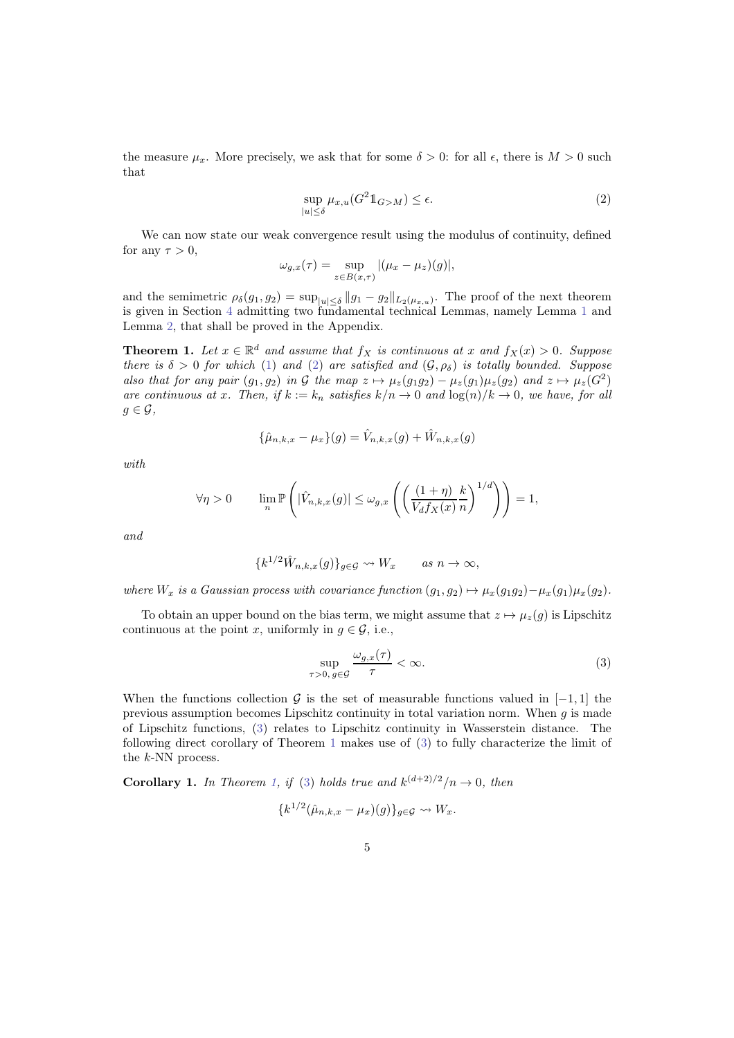the measure  $\mu_x$ . More precisely, we ask that for some  $\delta > 0$ : for all  $\epsilon$ , there is  $M > 0$  such that

<span id="page-4-0"></span>
$$
\sup_{|u| \le \delta} \mu_{x,u}(G^2 \mathbb{1}_{G > M}) \le \epsilon. \tag{2}
$$

We can now state our weak convergence result using the modulus of continuity, defined for any  $\tau > 0$ ,

$$
\omega_{g,x}(\tau) = \sup_{z \in B(x,\tau)} |(\mu_x - \mu_z)(g)|,
$$

and the semimetric  $\rho_{\delta}(g_1, g_2) = \sup_{|u| \leq \delta} ||g_1 - g_2||_{L_2(\mu_{x,u})}$ . The proof of the next theorem is given in Section [4](#page-7-0) admitting two fundamental technical Lemmas, namely Lemma [1](#page-7-1) and Lemma [2,](#page-7-2) that shall be proved in the Appendix.

<span id="page-4-2"></span>**Theorem 1.** Let  $x \in \mathbb{R}^d$  and assume that  $f_X$  is continuous at x and  $f_X(x) > 0$ . Suppose there is  $\delta > 0$  for which [\(1\)](#page-3-1) and [\(2\)](#page-4-0) are satisfied and  $(\mathcal{G}, \rho_{\delta})$  is totally bounded. Suppose also that for any pair  $(g_1, g_2)$  in G the map  $z \mapsto \mu_z(g_1g_2) - \mu_z(g_1)\mu_z(g_2)$  and  $z \mapsto \mu_z(G^2)$ are continuous at x. Then, if  $k := k_n$  satisfies  $k/n \to 0$  and  $\log(n)/k \to 0$ , we have, for all  $g \in \mathcal{G}$ ,

$$
\{\hat{\mu}_{n,k,x} - \mu_x\}(g) = \hat{V}_{n,k,x}(g) + \hat{W}_{n,k,x}(g)
$$

with

$$
\forall \eta > 0 \qquad \lim_{n} \mathbb{P}\left( |\hat{V}_{n,k,x}(g)| \leq \omega_{g,x} \left( \left( \frac{(1+\eta)}{V_d f_X(x)} \frac{k}{n} \right)^{1/d} \right) \right) = 1,
$$

and

$$
\{k^{1/2}\hat{W}_{n,k,x}(g)\}_{g\in\mathcal{G}} \rightsquigarrow W_x \quad \text{as } n \to \infty,
$$

where  $W_x$  is a Gaussian process with covariance function  $(g_1, g_2) \mapsto \mu_x(g_1g_2)-\mu_x(g_1)\mu_x(g_2)$ .

To obtain an upper bound on the bias term, we might assume that  $z \mapsto \mu_z(q)$  is Lipschitz continuous at the point x, uniformly in  $q \in \mathcal{G}$ , i.e.,

<span id="page-4-1"></span>
$$
\sup_{\tau>0, g\in\mathcal{G}}\frac{\omega_{g,x}(\tau)}{\tau}<\infty.
$$
\n(3)

When the functions collection G is the set of measurable functions valued in  $[-1, 1]$  the previous assumption becomes Lipschitz continuity in total variation norm. When  $q$  is made of Lipschitz functions, [\(3\)](#page-4-1) relates to Lipschitz continuity in Wasserstein distance. The following direct corollary of Theorem [1](#page-4-2) makes use of [\(3\)](#page-4-1) to fully characterize the limit of the k-NN process.

**Corollary 1.** In Theorem [1,](#page-4-2) if [\(3\)](#page-4-1) holds true and  $k^{(d+2)/2}/n \rightarrow 0$ , then

$$
\{k^{1/2}(\hat{\mu}_{n,k,x}-\mu_x)(g)\}_{g\in\mathcal{G}}\leadsto W_x.
$$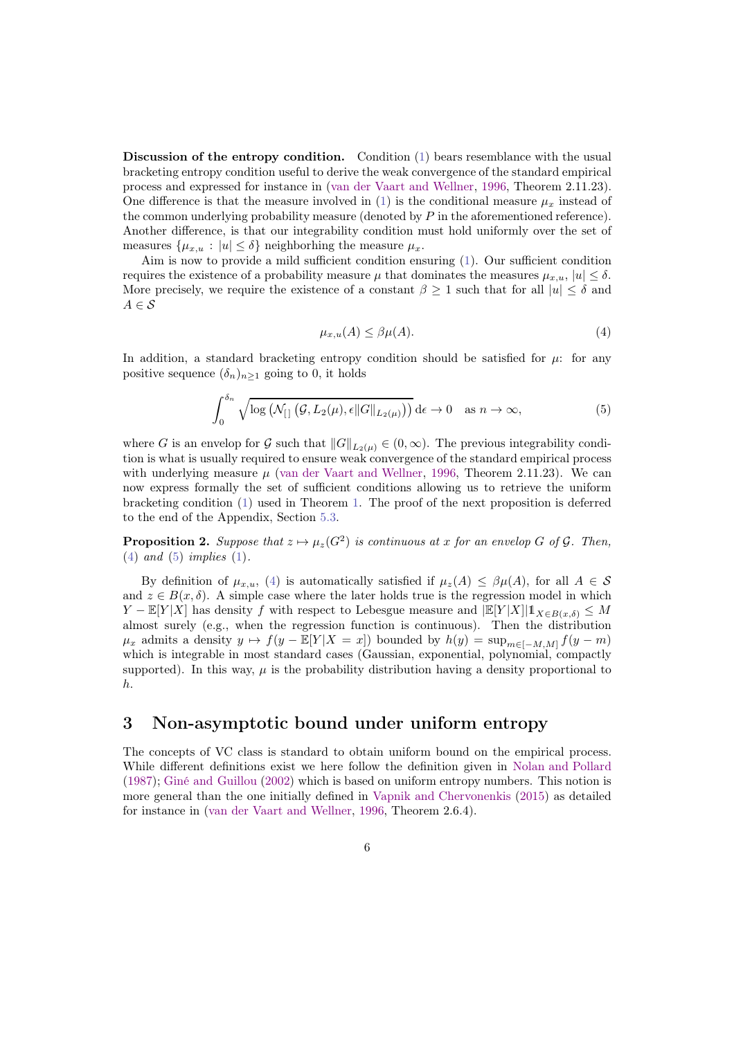Discussion of the entropy condition. Condition [\(1\)](#page-3-1) bears resemblance with the usual bracketing entropy condition useful to derive the weak convergence of the standard empirical process and expressed for instance in [\(van der Vaart and Wellner](#page-21-2), [1996,](#page-21-2) Theorem 2.11.23). One difference is that the measure involved in [\(1\)](#page-3-1) is the conditional measure  $\mu_x$  instead of the common underlying probability measure (denoted by  $P$  in the aforementioned reference). Another difference, is that our integrability condition must hold uniformly over the set of measures  $\{\mu_{x,u} : |u| \leq \delta\}$  neighborhing the measure  $\mu_x$ .

Aim is now to provide a mild sufficient condition ensuring [\(1\)](#page-3-1). Our sufficient condition requires the existence of a probability measure  $\mu$  that dominates the measures  $\mu_{x,u}$ ,  $|u| \leq \delta$ . More precisely, we require the existence of a constant  $\beta \geq 1$  such that for all  $|u| \leq \delta$  and  $A \in \mathcal{S}$ 

<span id="page-5-2"></span><span id="page-5-1"></span>
$$
\mu_{x,u}(A) \le \beta \mu(A). \tag{4}
$$

In addition, a standard bracketing entropy condition should be satisfied for  $\mu$ : for any positive sequence  $(\delta_n)_{n\geq 1}$  going to 0, it holds

$$
\int_0^{\delta_n} \sqrt{\log\left(\mathcal{N}_{[]}\left(\mathcal{G}, L_2(\mu), \epsilon \|G\|_{L_2(\mu)}\right)\right)} \, d\epsilon \to 0 \quad \text{as } n \to \infty,
$$
\n(5)

where G is an envelop for G such that  $||G||_{L_2(\mu)} \in (0, \infty)$ . The previous integrability condition is what is usually required to ensure weak convergence of the standard empirical process with underlying measure  $\mu$  [\(van der Vaart and Wellner,](#page-21-2) [1996,](#page-21-2) Theorem 2.11.23). We can now express formally the set of sufficient conditions allowing us to retrieve the uniform bracketing condition [\(1\)](#page-3-1) used in Theorem [1.](#page-4-2) The proof of the next proposition is deferred to the end of the Appendix, Section [5.3.](#page-18-0)

<span id="page-5-3"></span>**Proposition 2.** Suppose that  $z \mapsto \mu_z(G^2)$  is continuous at x for an envelop G of G. Then,  $(4)$  and  $(5)$  implies  $(1)$ .

By definition of  $\mu_{x,u}$ , [\(4\)](#page-5-1) is automatically satisfied if  $\mu_z(A) \leq \beta \mu(A)$ , for all  $A \in \mathcal{S}$ and  $z \in B(x, \delta)$ . A simple case where the later holds true is the regression model in which  $Y - \mathbb{E}[Y|X]$  has density f with respect to Lebesgue measure and  $\mathbb{E}[Y|X]|\mathbb{1}_{X\in B(x,\delta)} \leq M$ almost surely (e.g., when the regression function is continuous). Then the distribution  $\mu_x$  admits a density  $y \mapsto f(y - \mathbb{E}[Y | X = x])$  bounded by  $h(y) = \sup_{m \in [-M, M]} f(y - m)$ which is integrable in most standard cases (Gaussian, exponential, polynomial, compactly supported). In this way,  $\mu$  is the probability distribution having a density proportional to h.

# <span id="page-5-0"></span>3 Non-asymptotic bound under uniform entropy

The concepts of VC class is standard to obtain uniform bound on the empirical process. While different definitions exist we here follow the definition given in [Nolan and Pollard](#page-20-9) [\(1987\)](#page-20-9); [Giné and Guillou](#page-19-8) [\(2002\)](#page-19-8) which is based on uniform entropy numbers. This notion is more general than the one initially defined in [Vapnik and Chervonenkis](#page-21-3) [\(2015\)](#page-21-3) as detailed for instance in [\(van der Vaart and Wellner](#page-21-2), [1996](#page-21-2), Theorem 2.6.4).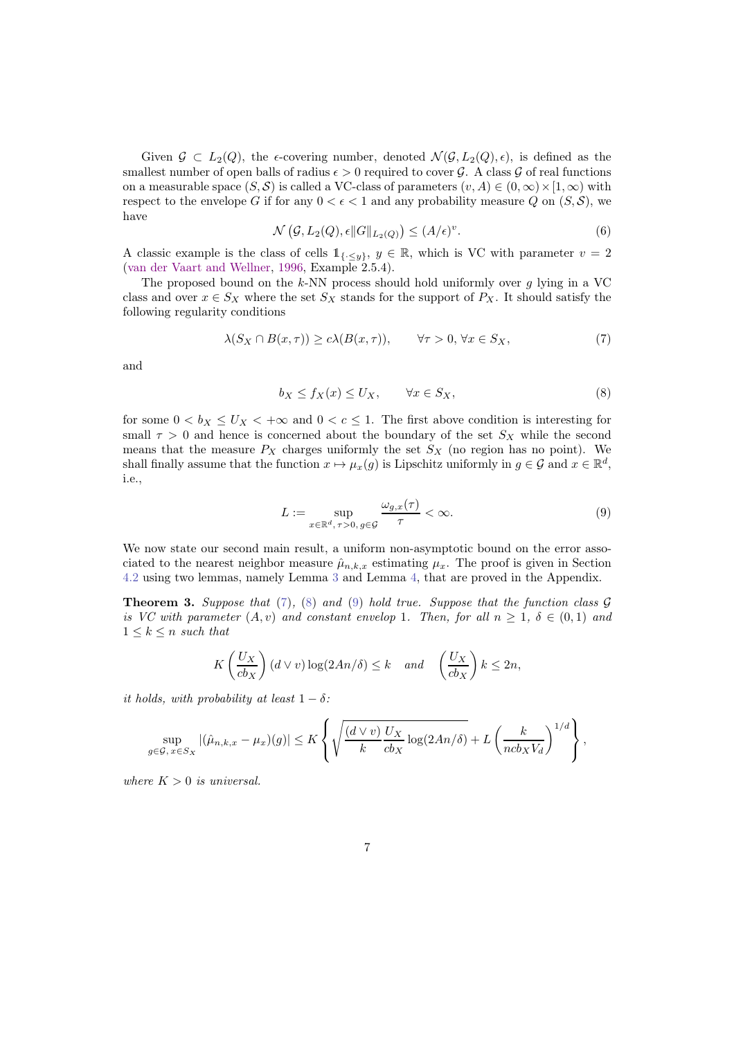Given  $\mathcal{G} \subset L_2(Q)$ , the  $\epsilon$ -covering number, denoted  $\mathcal{N}(\mathcal{G}, L_2(Q), \epsilon)$ , is defined as the smallest number of open balls of radius  $\epsilon > 0$  required to cover  $\mathcal G$ . A class  $\mathcal G$  of real functions on a measurable space  $(S, \mathcal{S})$  is called a VC-class of parameters  $(v, A) \in (0, \infty) \times [1, \infty)$  with respect to the envelope G if for any  $0 < \epsilon < 1$  and any probability measure Q on  $(S, \mathcal{S})$ , we have

$$
\mathcal{N}\left(\mathcal{G}, L_2(Q), \epsilon \|G\|_{L_2(Q)}\right) \le (A/\epsilon)^v. \tag{6}
$$

A classic example is the class of cells  $1_{\{·\leq y\}}, y \in \mathbb{R}$ , which is VC with parameter  $v = 2$ [\(van der Vaart and Wellner](#page-21-2), [1996,](#page-21-2) Example 2.5.4).

The proposed bound on the  $k$ -NN process should hold uniformly over g lying in a VC class and over  $x \in S_X$  where the set  $S_X$  stands for the support of  $P_X$ . It should satisfy the following regularity conditions

$$
\lambda(S_X \cap B(x,\tau)) \ge c\lambda(B(x,\tau)), \qquad \forall \tau > 0, \forall x \in S_X,\tag{7}
$$

and

<span id="page-6-1"></span><span id="page-6-0"></span>
$$
b_X \le f_X(x) \le U_X, \qquad \forall x \in S_X,\tag{8}
$$

for some  $0 < b_X \leq U_X < +\infty$  and  $0 < c \leq 1$ . The first above condition is interesting for small  $\tau > 0$  and hence is concerned about the boundary of the set  $S_X$  while the second means that the measure  $P_X$  charges uniformly the set  $S_X$  (no region has no point). We shall finally assume that the function  $x \mapsto \mu_x(g)$  is Lipschitz uniformly in  $g \in \mathcal{G}$  and  $x \in \mathbb{R}^d$ , i.e.,

<span id="page-6-2"></span>
$$
L := \sup_{x \in \mathbb{R}^d, \tau > 0, g \in \mathcal{G}} \frac{\omega_{g,x}(\tau)}{\tau} < \infty. \tag{9}
$$

We now state our second main result, a uniform non-asymptotic bound on the error associated to the nearest neighbor measure  $\hat{\mu}_{n,k,x}$  estimating  $\mu_x$ . The proof is given in Section [4.2](#page-10-0) using two lemmas, namely Lemma [3](#page-11-0) and Lemma [4,](#page-11-1) that are proved in the Appendix.

<span id="page-6-3"></span>**Theorem 3.** Suppose that [\(7\)](#page-6-0), [\(8\)](#page-6-1) and [\(9\)](#page-6-2) hold true. Suppose that the function class  $\mathcal{G}$ is VC with parameter  $(A, v)$  and constant envelop 1. Then, for all  $n \geq 1$ ,  $\delta \in (0, 1)$  and  $1 \leq k \leq n$  such that

$$
K\left(\frac{U_X}{cb_X}\right)(d\vee v)\log(2An/\delta) \le k \quad \text{and} \quad \left(\frac{U_X}{cb_X}\right)k \le 2n,
$$

it holds, with probability at least  $1 - \delta$ :

$$
\sup_{g\in\mathcal{G}, x\in S_X} |(\hat{\mu}_{n,k,x} - \mu_x)(g)| \leq K \left\{ \sqrt{\frac{(d\vee v)}{k} \frac{U_X}{cb_X} \log(2An/\delta)} + L \left(\frac{k}{ncb_X V_d}\right)^{1/d} \right\},
$$

where  $K > 0$  is universal.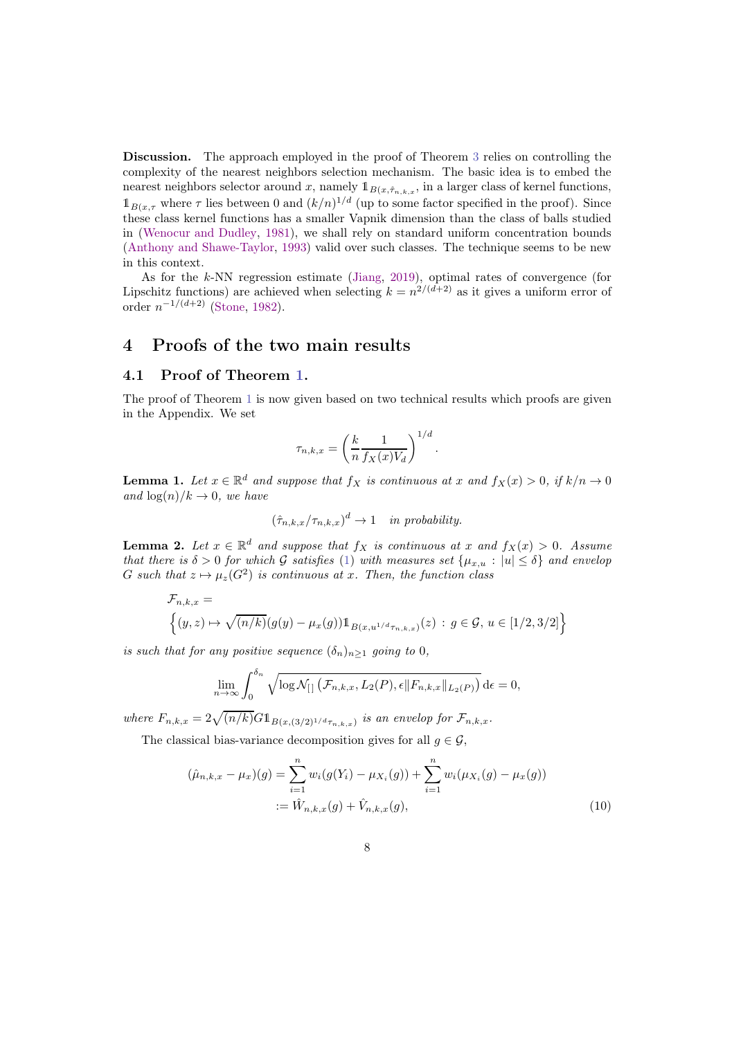Discussion. The approach employed in the proof of Theorem [3](#page-6-3) relies on controlling the complexity of the nearest neighbors selection mechanism. The basic idea is to embed the nearest neighbors selector around x, namely  $1_{B(x,\hat{\tau}_{n,k,x})}$  in a larger class of kernel functions,  $\mathbb{1}_{B(x,\tau)}$  where  $\tau$  lies between 0 and  $(k/n)^{1/d}$  (up to some factor specified in the proof). Since these class kernel functions has a smaller Vapnik dimension than the class of balls studied in [\(Wenocur and Dudley](#page-21-4), [1981](#page-21-4)), we shall rely on standard uniform concentration bounds [\(Anthony and Shawe-Taylor,](#page-19-10) [1993\)](#page-19-10) valid over such classes. The technique seems to be new in this context.

As for the k-NN regression estimate [\(Jiang](#page-20-0), [2019](#page-20-0)), optimal rates of convergence (for Lipschitz functions) are achieved when selecting  $k = n^{2/(d+2)}$  as it gives a uniform error of order  $n^{-1/(d+2)}$  [\(Stone](#page-20-6), [1982\)](#page-20-6).

# <span id="page-7-0"></span>4 Proofs of the two main results

### 4.1 Proof of Theorem [1.](#page-4-2)

The proof of Theorem [1](#page-4-2) is now given based on two technical results which proofs are given in the Appendix. We set

$$
\tau_{n,k,x} = \left(\frac{k}{n} \frac{1}{f_X(x)V_d}\right)^{1/d}.
$$

<span id="page-7-1"></span>**Lemma 1.** Let  $x \in \mathbb{R}^d$  and suppose that  $f_X$  is continuous at x and  $f_X(x) > 0$ , if  $k/n \to 0$ and  $\log(n)/k \to 0$ , we have

$$
(\hat{\tau}_{n,k,x}/\tau_{n,k,x})^d \to 1 \quad in \ probability.
$$

<span id="page-7-2"></span>**Lemma 2.** Let  $x \in \mathbb{R}^d$  and suppose that  $f_X$  is continuous at x and  $f_X(x) > 0$ . Assume that there is  $\delta > 0$  for which G satisfies [\(1\)](#page-3-1) with measures set  $\{\mu_{x,u}: |u| \leq \delta\}$  and envelop G such that  $z \mapsto \mu_z(G^2)$  is continuous at x. Then, the function class

$$
\mathcal{F}_{n,k,x} = \left\{ (y,z) \mapsto \sqrt{(n/k)}(g(y) - \mu_x(g)) \mathbb{1}_{B(x,u^{1/d}\tau_{n,k,x})}(z) : g \in \mathcal{G}, u \in [1/2,3/2] \right\}
$$

is such that for any positive sequence  $(\delta_n)_{n\geq 1}$  going to 0,

<span id="page-7-3"></span>
$$
\lim_{n \to \infty} \int_0^{\delta_n} \sqrt{\log \mathcal{N}_{[]}(\mathcal{F}_{n,k,x}, L_2(P), \epsilon \|F_{n,k,x}\|_{L_2(P)})} \, d\epsilon = 0,
$$

where  $F_{n,k,x} = 2\sqrt{(n/k)}G1_{B(x,(3/2)^{1/d}\tau_{n,k,x})}$  is an envelop for  $\mathcal{F}_{n,k,x}$ .

The classical bias-variance decomposition gives for all  $q \in \mathcal{G}$ ,

$$
(\hat{\mu}_{n,k,x} - \mu_x)(g) = \sum_{i=1}^n w_i(g(Y_i) - \mu_{X_i}(g)) + \sum_{i=1}^n w_i(\mu_{X_i}(g) - \mu_x(g))
$$
  
 :=  $\hat{W}_{n,k,x}(g) + \hat{V}_{n,k,x}(g),$  (10)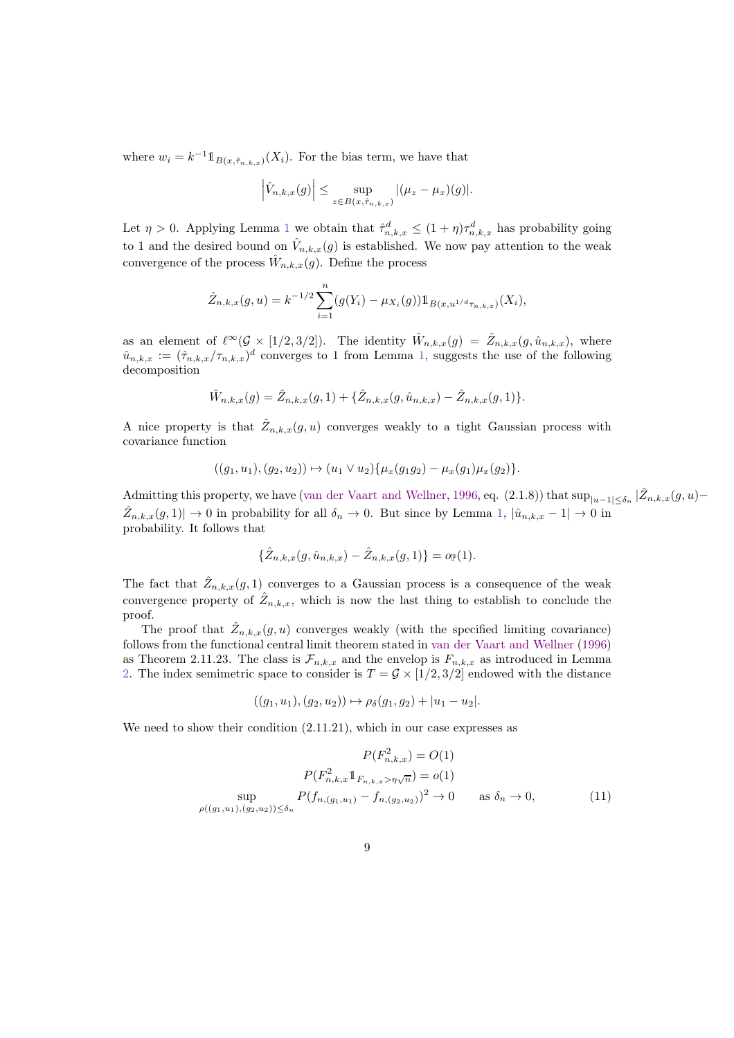where  $w_i = k^{-1} \mathbb{1}_{B(x, \hat{\tau}_{n,k,x})}(X_i)$ . For the bias term, we have that

$$
\left|\hat{V}_{n,k,x}(g)\right| \leq \sup_{z \in B(x,\hat{\tau}_{n,k,x})} |(\mu_z - \mu_x)(g)|.
$$

Let  $\eta > 0$ . Applying Lemma [1](#page-7-1) we obtain that  $\hat{\tau}_{n,k,x}^d \leq (1 + \eta)\tau_{n,k,x}^d$  has probability going to 1 and the desired bound on  $\hat{V}_{n,k,x}(g)$  is established. We now pay attention to the weak convergence of the process  $\hat{W}_{n,k,x}(g)$ . Define the process

$$
\hat{Z}_{n,k,x}(g,u) = k^{-1/2} \sum_{i=1}^{n} (g(Y_i) - \mu_{X_i}(g)) 1\!\!1_{B(x,u^{1/d}\tau_{n,k,x})}(X_i),
$$

as an element of  $\ell^{\infty}(\mathcal{G} \times [1/2, 3/2])$ . The identity  $\hat{W}_{n,k,x}(g) = \hat{Z}_{n,k,x}(g, \hat{u}_{n,k,x})$ , where  $\hat{u}_{n,k,x} := (\hat{\tau}_{n,k,x}/\tau_{n,k,x})^d$  converges to 1 from Lemma [1,](#page-7-1) suggests the use of the following decomposition

$$
\hat{W}_{n,k,x}(g) = \hat{Z}_{n,k,x}(g,1) + \{\hat{Z}_{n,k,x}(g,\hat{u}_{n,k,x}) - \hat{Z}_{n,k,x}(g,1)\}.
$$

A nice property is that  $\hat{Z}_{n,k,x}(g, u)$  converges weakly to a tight Gaussian process with covariance function

$$
((g_1, u_1), (g_2, u_2)) \mapsto (u_1 \vee u_2) \{ \mu_x(g_1g_2) - \mu_x(g_1) \mu_x(g_2) \}.
$$

Admitting this property, we have [\(van der Vaart and Wellner](#page-21-2), [1996](#page-21-2), eq. (2.1.8)) that  $\sup_{|u-1| \le \delta_n} |\hat{Z}_{n,k,x}(g,u) \hat{Z}_{n,k,x}(g,1) \rightarrow 0$  in probability for all  $\delta_n \rightarrow 0$ . But since by Lemma [1,](#page-7-1)  $|\hat{u}_{n,k,x} - 1| \rightarrow 0$  in probability. It follows that

$$
\{\hat{Z}_{n,k,x}(g,\hat{u}_{n,k,x}) - \hat{Z}_{n,k,x}(g,1)\} = o_{\mathbb{P}}(1).
$$

The fact that  $\hat{Z}_{n,k,x}(g,1)$  converges to a Gaussian process is a consequence of the weak convergence property of  $\hat{Z}_{n,k,x}$ , which is now the last thing to establish to conclude the proof.

The proof that  $\hat{Z}_{n,k,x}(g, u)$  converges weakly (with the specified limiting covariance) follows from the functional central limit theorem stated in [van der Vaart and Wellner](#page-21-2) [\(1996\)](#page-21-2) as Theorem 2.11.23. The class is  $\mathcal{F}_{n,k,x}$  and the envelop is  $F_{n,k,x}$  as introduced in Lemma [2.](#page-7-2) The index semimetric space to consider is  $T = \mathcal{G} \times [1/2, 3/2]$  endowed with the distance

<span id="page-8-0"></span>
$$
((g_1, u_1), (g_2, u_2)) \mapsto \rho_{\delta}(g_1, g_2) + |u_1 - u_2|.
$$

We need to show their condition  $(2.11.21)$ , which in our case expresses as

$$
P(F_{n,k,x}^{2}) = O(1)
$$

$$
P(F_{n,k,x}^{2} \mathbb{1}_{F_{n,k,x} > \eta \sqrt{n}}) = o(1)
$$

$$
\sup_{\rho((g_1, u_1), (g_2, u_2)) \le \delta_n} P(f_{n,(g_1, u_1)} - f_{n,(g_2, u_2)})^2 \to 0 \quad \text{as } \delta_n \to 0,
$$
(11)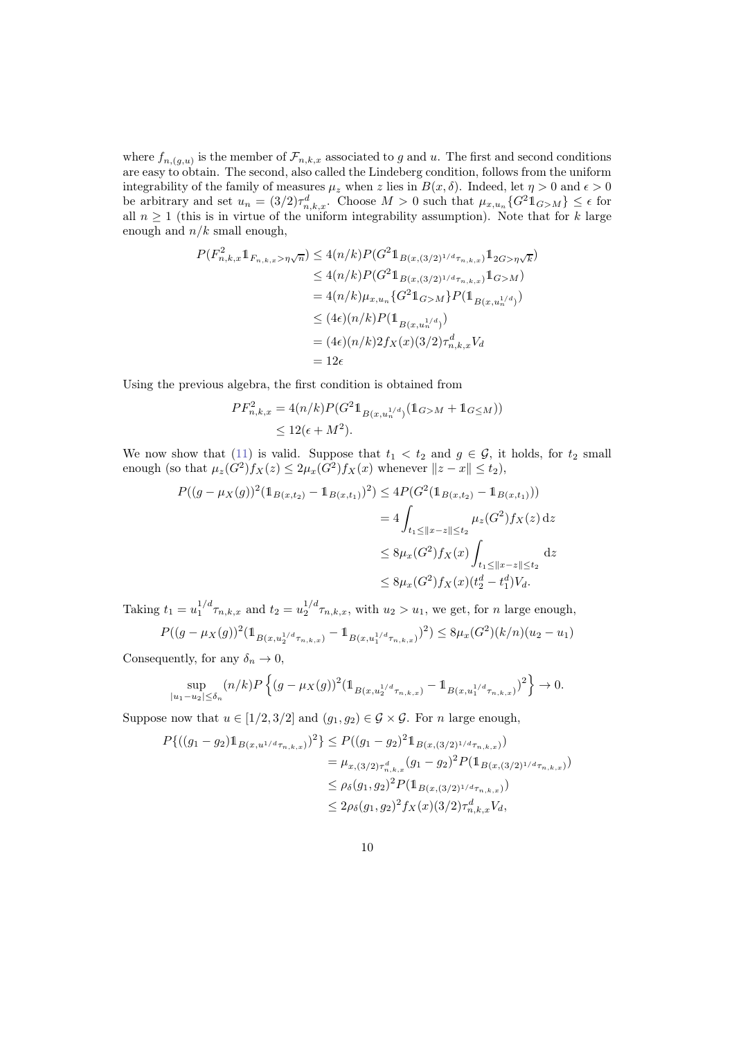where  $f_{n,(g,u)}$  is the member of  $\mathcal{F}_{n,k,x}$  associated to g and u. The first and second conditions are easy to obtain. The second, also called the Lindeberg condition, follows from the uniform integrability of the family of measures  $\mu_z$  when z lies in  $B(x,\delta)$ . Indeed, let  $\eta > 0$  and  $\epsilon > 0$ be arbitrary and set  $u_n = (3/2)\tau_{n,k,x}^d$ . Choose  $M > 0$  such that  $\mu_{x,u_n} \{G^2 \mathbb{1}_{G>M}\}\leq \epsilon$  for all  $n \geq 1$  (this is in virtue of the uniform integrability assumption). Note that for k large enough and  $n/k$  small enough,

$$
P(F_{n,k,x}^{2}1_{F_{n,k,x}>\eta\sqrt{n}}) \leq 4(n/k)P(G^{2}1_{B(x,(3/2)^{1/d}\tau_{n,k,x})}1_{2G>\eta\sqrt{k}})
$$
  
\n
$$
\leq 4(n/k)P(G^{2}1_{B(x,(3/2)^{1/d}\tau_{n,k,x})}1_{G>M})
$$
  
\n
$$
= 4(n/k)\mu_{x,u_n}\{G^{2}1_{G>M}\}P(1_{B(x,u_n^{1/d})})
$$
  
\n
$$
\leq (4\epsilon)(n/k)P(1_{B(x,u_n^{1/d})})
$$
  
\n
$$
= (4\epsilon)(n/k)2f_X(x)(3/2)\tau_{n,k,x}^dV_d
$$
  
\n
$$
= 12\epsilon
$$

Using the previous algebra, the first condition is obtained from

$$
PF_{n,k,x}^2 = 4(n/k)P(G^2 \mathbb{1}_{B(x,u_n^{1/d})}(\mathbb{1}_{G>M} + \mathbb{1}_{G \le M}))
$$
  
\$\le 12(\epsilon + M^2).

We now show that [\(11\)](#page-8-0) is valid. Suppose that  $t_1 < t_2$  and  $g \in \mathcal{G}$ , it holds, for  $t_2$  small enough (so that  $\mu_z(G^2)f_X(z) \leq 2\mu_x(G^2)f_X(x)$  whenever  $||z-x|| \leq t_2$ ),

$$
P((g - \mu_X(g))^2 (\mathbb{1}_{B(x,t_2)} - \mathbb{1}_{B(x,t_1)})^2) \le 4P(G^2 (\mathbb{1}_{B(x,t_2)} - \mathbb{1}_{B(x,t_1)}))
$$
  
=  $4 \int_{t_1 \le ||x - z|| \le t_2} \mu_z(G^2) f_X(z) dz$   
 $\le 8\mu_x(G^2) f_X(x) \int_{t_1 \le ||x - z|| \le t_2} dz$   
 $\le 8\mu_x(G^2) f_X(x) (t_2^d - t_1^d) V_d.$ 

Taking  $t_1 = u_1^{1/d} \tau_{n,k,x}$  and  $t_2 = u_2^{1/d} \tau_{n,k,x}$ , with  $u_2 > u_1$ , we get, for n large enough,

$$
P((g - \mu_X(g))^2 (\mathbb{1}_{B(x, u_2^{1/d}\tau_{n,k,x})} - \mathbb{1}_{B(x, u_1^{1/d}\tau_{n,k,x})})^2) \le 8\mu_x(G^2)(k/n)(u_2 - u_1)
$$

Consequently, for any  $\delta_n \to 0$ ,

 $|i\rangle$ 

$$
\sup_{|t_1-u_2|\leq \delta_n} (n/k) P\left\{ (g-\mu_X(g))^2 (\mathbb{1}_{B(x,u_2^{1/d}\tau_{n,k,x})} - \mathbb{1}_{B(x,u_1^{1/d}\tau_{n,k,x})})^2 \right\} \to 0.
$$

Suppose now that  $u \in [1/2, 3/2]$  and  $(g_1, g_2) \in \mathcal{G} \times \mathcal{G}$ . For *n* large enough,

$$
P\{((g_1 - g_2)1\!\!1_{B(x, u^{1/d}\tau_{n,k,x})})^2\} \le P((g_1 - g_2)^2 1\!\!1_{B(x, (3/2)^{1/d}\tau_{n,k,x})})
$$
  
=  $\mu_{x, (3/2)\tau_{n,k,x}^d}(g_1 - g_2)^2 P(1\!\!1_{B(x, (3/2)^{1/d}\tau_{n,k,x})})$   
 $\le \rho_{\delta}(g_1, g_2)^2 P(1\!\!1_{B(x, (3/2)^{1/d}\tau_{n,k,x})})$   
 $\le 2\rho_{\delta}(g_1, g_2)^2 f_X(x) (3/2) \tau_{n,k,x}^d V_d,$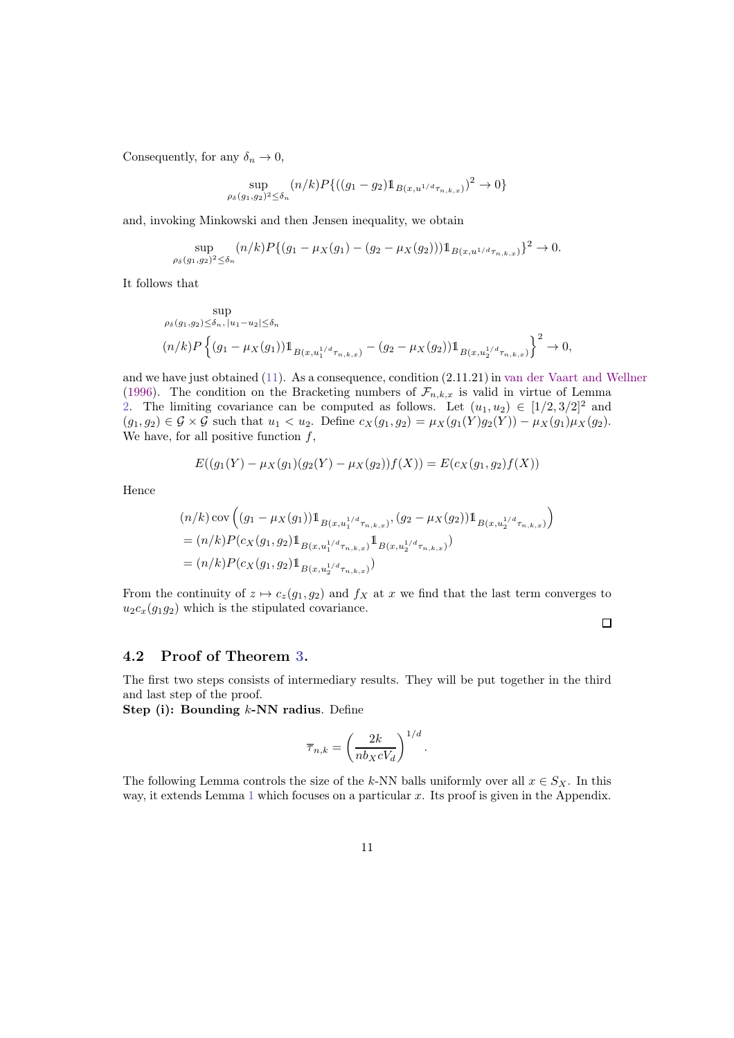Consequently, for any  $\delta_n \to 0$ ,

$$
\sup_{\rho_{\delta}(g_1, g_2)^2 \le \delta_n} (n/k) P\{((g_1 - g_2) \mathbb{1}_{B(x, u^{1/d}\tau_{n,k,x})})^2 \to 0\}
$$

and, invoking Minkowski and then Jensen inequality, we obtain

$$
\sup_{\rho_{\delta}(g_1,g_2)^2 \le \delta_n} (n/k) P\{(g_1 - \mu_X(g_1) - (g_2 - \mu_X(g_2))) \mathbb{1}_{B(x,u^{1/d}\tau_{n,k,x})}\}^2 \to 0.
$$

It follows that

$$
\sup_{\rho_{\delta}(g_1,g_2)\le\delta_n, |u_1-u_2|\le\delta_n} \exp\left\{(g_1-\mu_X(g_1))1\right\}_{B(x,u_1^{1/d}\tau_{n,k,x})} - (g_2-\mu_X(g_2))1\_{B(x,u_2^{1/d}\tau_{n,k,x})}\right\}^2 \to 0,
$$

and we have just obtained [\(11\)](#page-8-0). As a consequence, condition (2.11.21) in [van der Vaart and Wellner](#page-21-2) [\(1996\)](#page-21-2). The condition on the Bracketing numbers of  $\mathcal{F}_{n,k,x}$  is valid in virtue of Lemma [2.](#page-7-2) The limiting covariance can be computed as follows. Let  $(u_1, u_2) \in [1/2, 3/2]^2$  and  $(g_1, g_2) \in \mathcal{G} \times \mathcal{G}$  such that  $u_1 < u_2$ . Define  $c_X(g_1, g_2) = \mu_X(g_1(Y)g_2(Y)) - \mu_X(g_1)\mu_X(g_2)$ . We have, for all positive function  $f$ ,

$$
E((g_1(Y) - \mu_X(g_1)(g_2(Y) - \mu_X(g_2))f(X)) = E(c_X(g_1, g_2)f(X))
$$

Hence

$$
(n/k)\,\text{cov}\left((g_1 - \mu_X(g_1))\mathbb{1}_{B(x,u_1^{1/d}\tau_{n,k,x})}, (g_2 - \mu_X(g_2))\mathbb{1}_{B(x,u_2^{1/d}\tau_{n,k,x})}\right)
$$
  
=  $(n/k)P(c_X(g_1,g_2)\mathbb{1}_{B(x,u_1^{1/d}\tau_{n,k,x})}\mathbb{1}_{B(x,u_2^{1/d}\tau_{n,k,x})})$   
=  $(n/k)P(c_X(g_1,g_2)\mathbb{1}_{B(x,u_2^{1/d}\tau_{n,k,x})})$ 

From the continuity of  $z \mapsto c_z(g_1, g_2)$  and  $f_X$  at x we find that the last term converges to  $u_2c_x(g_1g_2)$  which is the stipulated covariance.

 $\Box$ 

#### <span id="page-10-0"></span>4.2 Proof of Theorem [3.](#page-6-3)

The first two steps consists of intermediary results. They will be put together in the third and last step of the proof.

Step (i): Bounding  $k$ -NN radius. Define

$$
\overline{\tau}_{n,k} = \left(\frac{2k}{nb_X c V_d}\right)^{1/d}.
$$

The following Lemma controls the size of the k-NN balls uniformly over all  $x \in S_X$ . In this way, it extends Lemma [1](#page-7-1) which focuses on a particular  $x$ . Its proof is given in the Appendix.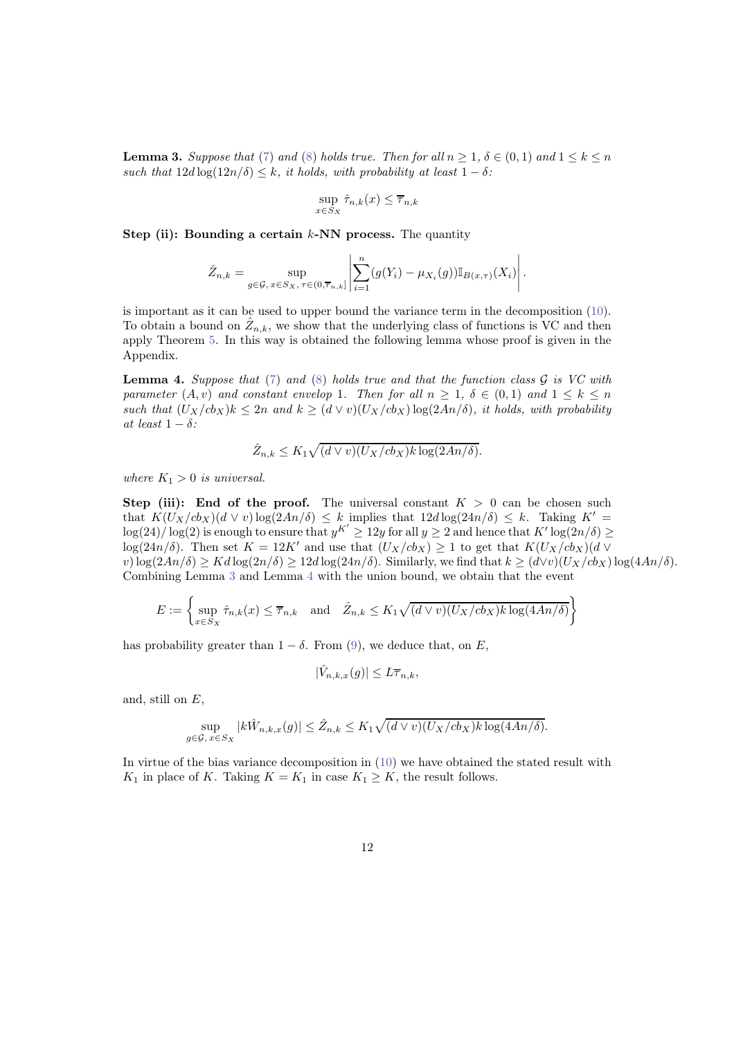<span id="page-11-0"></span>**Lemma 3.** Suppose that [\(7\)](#page-6-0) and [\(8\)](#page-6-1) holds true. Then for all  $n > 1$ ,  $\delta \in (0, 1)$  and  $1 \leq k \leq n$ such that  $12d \log(12n/\delta) \leq k$ , it holds, with probability at least  $1 - \delta$ :

$$
\sup_{x \in S_X} \hat{\tau}_{n,k}(x) \le \overline{\tau}_{n,k}
$$

Step (ii): Bounding a certain  $k$ -NN process. The quantity

$$
\hat{Z}_{n,k} = \sup_{g \in \mathcal{G}, x \in S_X, \tau \in (0, \overline{\tau}_{n,k}]} \left| \sum_{i=1}^n (g(Y_i) - \mu_{X_i}(g)) \mathbb{I}_{B(x,\tau)}(X_i) \right|.
$$

is important as it can be used to upper bound the variance term in the decomposition [\(10\)](#page-7-3). To obtain a bound on  $\hat{Z}_{n,k}$ , we show that the underlying class of functions is VC and then apply Theorem [5.](#page-13-0) In this way is obtained the following lemma whose proof is given in the Appendix.

<span id="page-11-1"></span>**Lemma 4.** Suppose that [\(7\)](#page-6-0) and [\(8\)](#page-6-1) holds true and that the function class  $\mathcal G$  is VC with parameter  $(A, v)$  and constant envelop 1. Then for all  $n \geq 1$ ,  $\delta \in (0, 1)$  and  $1 \leq k \leq n$ such that  $(U_X/cb_X)k \leq 2n$  and  $k \geq (d \vee v)(U_X/cb_X) \log(2An/\delta)$ , it holds, with probability at least  $1 - \delta$ :

$$
\hat{Z}_{n,k} \leq K_1 \sqrt{(d \vee v)(U_X/cb_X)k \log(2An/\delta)}.
$$

where  $K_1 > 0$  is universal.

Step (iii): End of the proof. The universal constant  $K > 0$  can be chosen such that  $K(U_X/cb_X)(d \vee v) \log(2An/\delta) \leq k$  implies that  $12d \log(24n/\delta) \leq k$ . Taking  $K' =$  $\log(24)/\log(2)$  is enough to ensure that  $y^{K'} \ge 12y$  for all  $y \ge 2$  and hence that  $K' \log(2n/\delta) \ge$  $\log(24n/\delta)$ . Then set  $K = 12K'$  and use that  $(U_X/cb_X) \geq 1$  to get that  $K(U_X/cb_X)(d \vee$ v)  $\log(2An/\delta) \ge K d \log(2n/\delta) \ge 12d \log(24n/\delta)$ . Similarly, we find that  $k \ge (d \vee v)(U_X/c b_X) \log(4An/\delta)$ . Combining Lemma [3](#page-11-0) and Lemma [4](#page-11-1) with the union bound, we obtain that the event

$$
E := \left\{ \sup_{x \in S_X} \hat{\tau}_{n,k}(x) \le \overline{\tau}_{n,k} \quad \text{and} \quad \hat{Z}_{n,k} \le K_1 \sqrt{(d \vee v)(U_X/cb_X)k \log(4An/\delta)} \right\}
$$

has probability greater than  $1 - \delta$ . From [\(9\)](#page-6-2), we deduce that, on E,

$$
|\hat{V}_{n,k,x}(g)| \le L\overline{\tau}_{n,k},
$$

and, still on  $E$ ,

$$
\sup_{g \in \mathcal{G}, x \in S_X} |k\hat{W}_{n,k,x}(g)| \leq \hat{Z}_{n,k} \leq K_1 \sqrt{(d \vee v)(U_X/cb_X)k \log(4An/\delta)}.
$$

In virtue of the bias variance decomposition in [\(10\)](#page-7-3) we have obtained the stated result with  $K_1$  in place of K. Taking  $K = K_1$  in case  $K_1 \geq K$ , the result follows.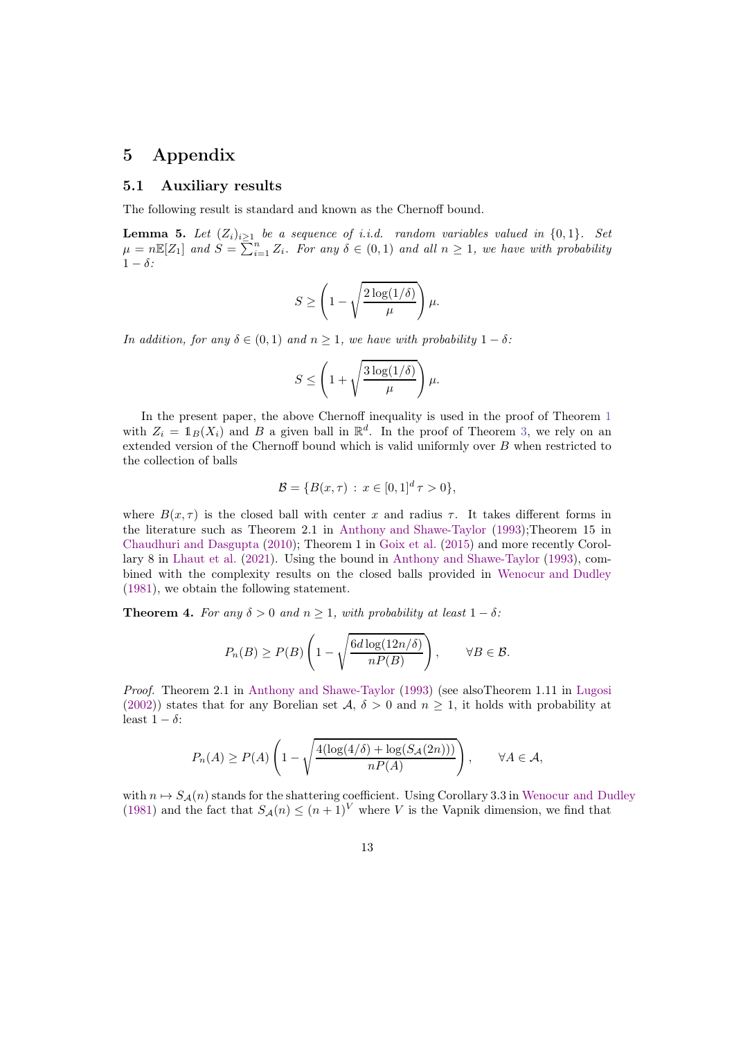# 5 Appendix

#### 5.1 Auxiliary results

The following result is standard and known as the Chernoff bound.

<span id="page-12-0"></span>**Lemma 5.** Let  $(Z_i)_{i>1}$  be a sequence of i.i.d. random variables valued in  $\{0,1\}$ . Set  $\mu = n \mathbb{E}[Z_1]$  and  $S = \sum_{i=1}^n Z_i$ . For any  $\delta \in (0,1)$  and all  $n \geq 1$ , we have with probability  $1 - \delta$ :

$$
S \ge \left(1 - \sqrt{\frac{2\log(1/\delta)}{\mu}}\right)\mu.
$$

In addition, for any  $\delta \in (0,1)$  and  $n \geq 1$ , we have with probability  $1 - \delta$ :

$$
S \le \left(1 + \sqrt{\frac{3\log(1/\delta)}{\mu}}\right)\mu.
$$

In the present paper, the above Chernoff inequality is used in the proof of Theorem [1](#page-4-2) with  $Z_i = \mathbb{1}_B(X_i)$  and B a given ball in  $\mathbb{R}^d$ . In the proof of Theorem [3,](#page-6-3) we rely on an extended version of the Chernoff bound which is valid uniformly over B when restricted to the collection of balls

$$
\mathcal{B} = \{ B(x, \tau) : x \in [0, 1]^d \tau > 0 \},\
$$

where  $B(x, \tau)$  is the closed ball with center x and radius  $\tau$ . It takes different forms in the literature such as Theorem 2.1 in [Anthony and Shawe-Taylor](#page-19-10) [\(1993\)](#page-19-10);Theorem 15 in [Chaudhuri and Dasgupta](#page-19-11) [\(2010\)](#page-19-11); Theorem 1 in [Goix et al.](#page-19-12) [\(2015\)](#page-19-12) and more recently Corollary 8 in [Lhaut et al.](#page-20-15) [\(2021](#page-20-15)). Using the bound in [Anthony and Shawe-Taylor](#page-19-10) [\(1993\)](#page-19-10), combined with the complexity results on the closed balls provided in [Wenocur and Dudley](#page-21-4) [\(1981\)](#page-21-4), we obtain the following statement.

<span id="page-12-1"></span>**Theorem 4.** For any  $\delta > 0$  and  $n \geq 1$ , with probability at least  $1 - \delta$ :

$$
P_n(B) \ge P(B) \left( 1 - \sqrt{\frac{6d \log(12n/\delta)}{nP(B)}} \right), \qquad \forall B \in \mathcal{B}.
$$

Proof. Theorem 2.1 in [Anthony and Shawe-Taylor](#page-19-10) [\(1993\)](#page-19-10) (see alsoTheorem 1.11 in [Lugosi](#page-20-16) [\(2002\)](#page-20-16)) states that for any Borelian set  $\mathcal{A}, \delta > 0$  and  $n \geq 1$ , it holds with probability at least  $1 - \delta$ :

$$
P_n(A) \ge P(A) \left( 1 - \sqrt{\frac{4(\log(4/\delta) + \log(S_{\mathcal{A}}(2n)))}{nP(A)}} \right), \quad \forall A \in \mathcal{A},
$$

with  $n \mapsto S_{\mathcal{A}}(n)$  stands for the shattering coefficient. Using Corollary 3.3 in [Wenocur and Dudley](#page-21-4) [\(1981\)](#page-21-4) and the fact that  $S_{\mathcal{A}}(n) \leq (n+1)^V$  where V is the Vapnik dimension, we find that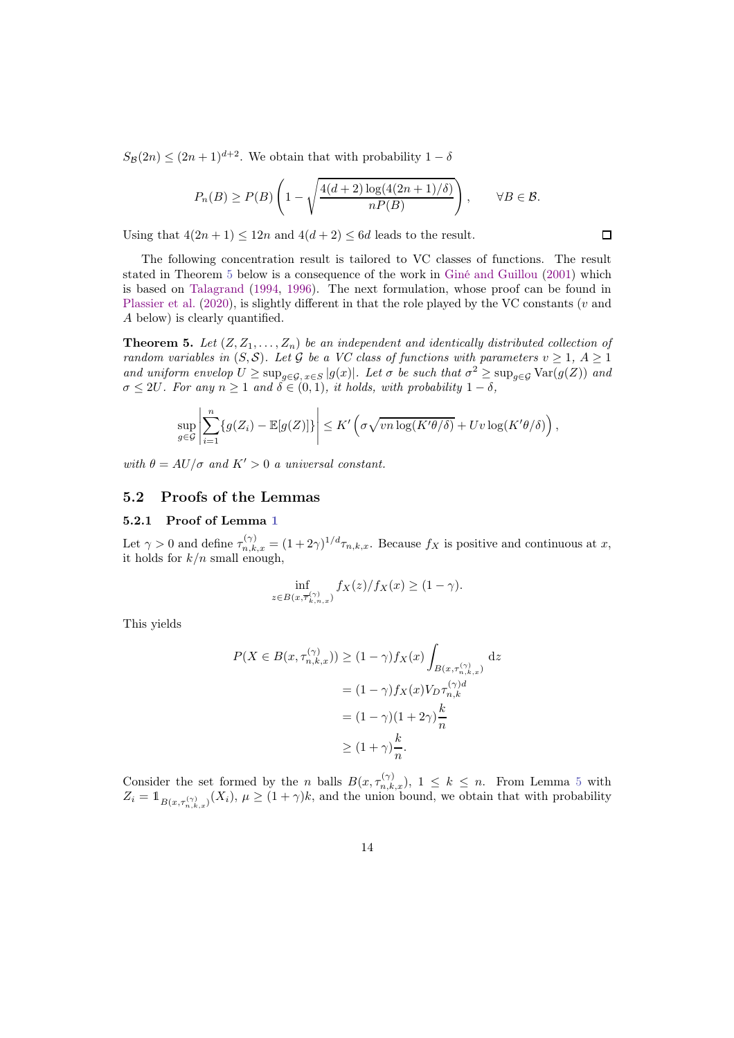$S_B(2n) \leq (2n+1)^{d+2}$ . We obtain that with probability  $1-\delta$ 

$$
P_n(B) \ge P(B) \left( 1 - \sqrt{\frac{4(d+2) \log(4(2n+1)/\delta)}{nP(B)}} \right), \qquad \forall B \in \mathcal{B}.
$$

 $\Box$ 

Using that  $4(2n + 1) \le 12n$  and  $4(d + 2) \le 6d$  leads to the result.

The following concentration result is tailored to VC classes of functions. The result stated in Theorem [5](#page-13-0) below is a consequence of the work in [Giné and Guillou](#page-19-13) [\(2001](#page-19-13)) which is based on [Talagrand](#page-20-11) [\(1994,](#page-20-11) [1996\)](#page-21-5). The next formulation, whose proof can be found in [Plassier et al.](#page-20-10) [\(2020](#page-20-10)), is slightly different in that the role played by the VC constants (v and A below) is clearly quantified.

<span id="page-13-0"></span>**Theorem 5.** Let  $(Z, Z_1, \ldots, Z_n)$  be an independent and identically distributed collection of random variables in  $(S, \mathcal{S})$ . Let G be a VC class of functions with parameters  $v \geq 1$ ,  $A \geq 1$ and uniform envelop  $U \ge \sup_{g \in \mathcal{G}, x \in S} |g(x)|$ . Let  $\sigma$  be such that  $\sigma^2 \ge \sup_{g \in \mathcal{G}} \text{Var}(g(Z))$  and  $\sigma \leq 2U$ . For any  $n \geq 1$  and  $\delta \in (0,1)$ , it holds, with probability  $1-\delta$ ,

$$
\sup_{g\in\mathcal{G}}\left|\sum_{i=1}^n\{g(Z_i)-\mathbb{E}[g(Z)]\}\right|\leq K'\left(\sigma\sqrt{vn\log(K'\theta/\delta)}+Uv\log(K'\theta/\delta)\right),
$$

with  $\theta = AU/\sigma$  and  $K' > 0$  a universal constant.

### 5.2 Proofs of the Lemmas

### 5.2.1 Proof of Lemma [1](#page-7-1)

Let  $\gamma > 0$  and define  $\tau_{n,k,x}^{(\gamma)} = (1 + 2\gamma)^{1/d} \tau_{n,k,x}$ . Because  $f_X$  is positive and continuous at x, it holds for  $k/n$  small enough,

$$
\inf_{z\in B(x,\overline{\tau}_{k,n,x}^{(\gamma)})}f_X(z)/f_X(x)\geq (1-\gamma).
$$

This yields

$$
P(X \in B(x, \tau_{n,k,x}^{(\gamma)})) \ge (1 - \gamma) f_X(x) \int_{B(x, \tau_{n,k,x}^{(\gamma)})} dz
$$

$$
= (1 - \gamma) f_X(x) V_D \tau_{n,k}^{(\gamma)d}
$$

$$
= (1 - \gamma) (1 + 2\gamma) \frac{k}{n}
$$

$$
\ge (1 + \gamma) \frac{k}{n}.
$$

Consider the set formed by the n balls  $B(x, \tau_{n,k,x}^{(\gamma)}), 1 \leq k \leq n$ . From Lemma [5](#page-12-0) with  $Z_i = \mathbb{1}_{B(x,\tau_{n,k,x}^{(\gamma)})}(X_i)$ ,  $\mu \geq (1+\gamma)k$ , and the union bound, we obtain that with probability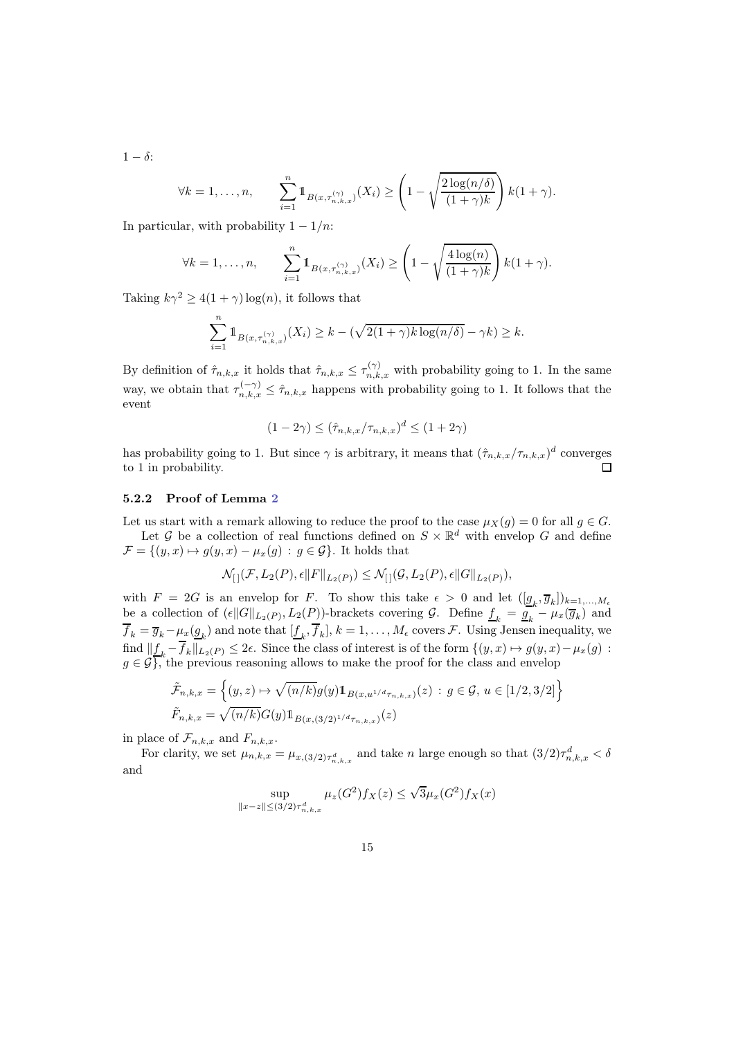$1 - \delta$ :

$$
\forall k = 1, \dots, n, \qquad \sum_{i=1}^n \mathbb{1}_{B(x, \tau_{n,k,x}^{(\gamma)})}(X_i) \ge \left(1 - \sqrt{\frac{2\log(n/\delta)}{(1+\gamma)k}}\right)k(1+\gamma).
$$

In particular, with probability  $1 - 1/n$ :

$$
\forall k = 1, \dots, n, \qquad \sum_{i=1}^n \mathbb{1}_{B(x, \tau_{n,k,x}^{(\gamma)})}(X_i) \ge \left(1 - \sqrt{\frac{4 \log(n)}{(1+\gamma)k}}\right) k(1+\gamma).
$$

Taking  $k\gamma^2 \geq 4(1+\gamma)\log(n)$ , it follows that

$$
\sum_{i=1}^{n} \mathbb{1}_{B(x,\tau_{n,k,x}^{(\gamma)})}(X_i) \geq k - (\sqrt{2(1+\gamma)k\log(n/\delta)} - \gamma k) \geq k.
$$

By definition of  $\hat{\tau}_{n,k,x}$  it holds that  $\hat{\tau}_{n,k,x} \leq \tau_{n,k,x}^{(\gamma)}$  with probability going to 1. In the same way, we obtain that  $\tau_{n,k,x}^{(-\gamma)} \leq \hat{\tau}_{n,k,x}$  happens with probability going to 1. It follows that the event

$$
(1 - 2\gamma) \le (\hat{\tau}_{n,k,x}/\tau_{n,k,x})^d \le (1 + 2\gamma)
$$

has probability going to 1. But since  $\gamma$  is arbitrary, it means that  $(\hat{\tau}_{n,k,x}/\tau_{n,k,x})^d$  converges to 1 in probability.  $\Box$ 

### 5.2.2 Proof of Lemma [2](#page-7-2)

Let us start with a remark allowing to reduce the proof to the case  $\mu_X(q) = 0$  for all  $q \in G$ . Let G be a collection of real functions defined on  $S \times \mathbb{R}^d$  with envelop G and define

 $\mathcal{F} = \{(y, x) \mapsto g(y, x) - \mu_x(g) : g \in \mathcal{G}\}\.$  It holds that

$$
\mathcal{N}_{[]}(\mathcal{F}, L_2(P), \epsilon \|F\|_{L_2(P)}) \leq \mathcal{N}_{[]}(\mathcal{G}, L_2(P), \epsilon \|G\|_{L_2(P)}),
$$

with  $F = 2G$  is an envelop for F. To show this take  $\epsilon > 0$  and let  $([\underline{g}_k, \overline{g}_k])_{k=1,...,M_{\epsilon}}$ be a collection of  $(\epsilon \|G\|_{L_2(P)}, L_2(P))$ -brackets covering  $\mathcal{G}$ . Define  $\underline{f}_k = \underline{g}_k - \mu_x(\overline{g}_k)$  and  $f_k = \overline{g}_k - \mu_x(\underline{g}_k)$  and note that  $[\underline{f}_k, f_k], k = 1, \ldots, M_\epsilon$  covers  $\mathcal{F}$ . Using Jensen inequality, we find  $||f_k - f_k||_{L_2(P)} \leq 2\epsilon$ . Since the class of interest is of the form  $\{(y, x) \mapsto g(y, x) - \mu_x(g)$ :  $g \in \mathcal{G}$ , the previous reasoning allows to make the proof for the class and envelop

$$
\tilde{\mathcal{F}}_{n,k,x} = \left\{ (y,z) \mapsto \sqrt{(n/k)} g(y) \mathbb{1}_{B(x,u^{1/d}\tau_{n,k,x})}(z) : g \in \mathcal{G}, u \in [1/2,3/2] \right\}
$$
\n
$$
\tilde{F}_{n,k,x} = \sqrt{(n/k)} G(y) \mathbb{1}_{B(x,(3/2)^{1/d}\tau_{n,k,x})}(z)
$$

in place of  $\mathcal{F}_{n,k,x}$  and  $F_{n,k,x}.$ 

For clarity, we set  $\mu_{n,k,x} = \mu_{x,(3/2)\tau_{n,k,x}^d}$  and take n large enough so that  $(3/2)\tau_{n,k,x}^d < \delta$ and

$$
\sup_{\|x-z\| \le (3/2)\tau_{n,k,x}^d} \mu_z(G^2) f_X(z) \le \sqrt{3} \mu_x(G^2) f_X(x)
$$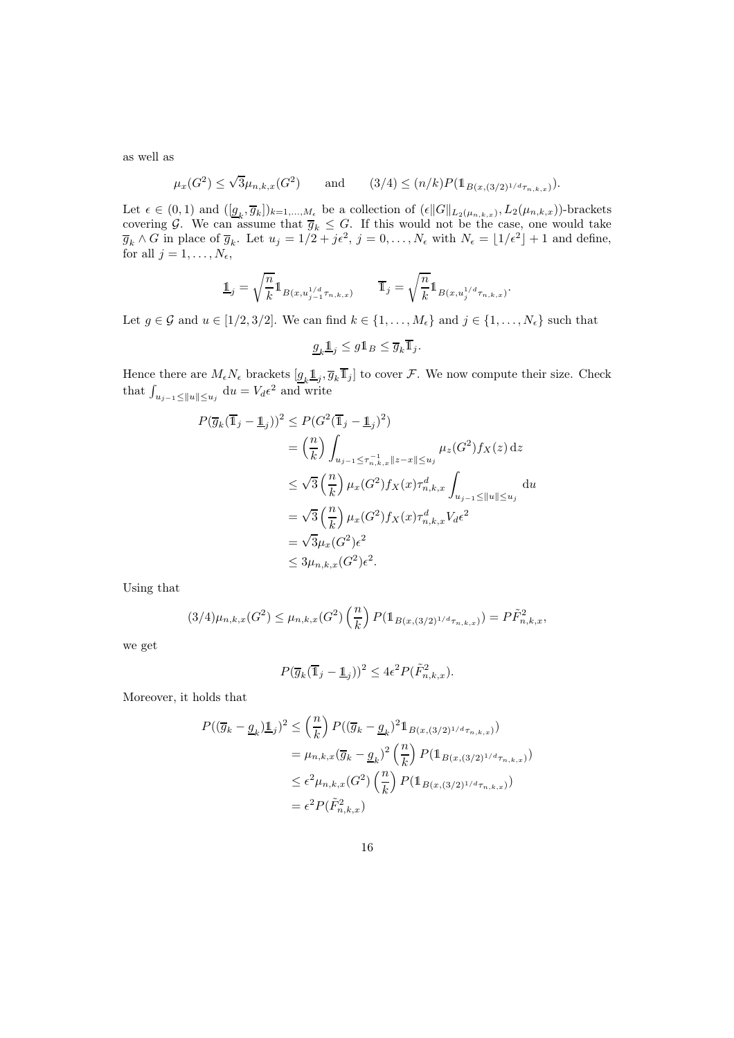as well as

$$
\mu_x(G^2) \le \sqrt{3}\mu_{n,k,x}(G^2)
$$
 and  $(3/4) \le (n/k)P(\mathbb{1}_{B(x,(3/2)^{1/d}\tau_{n,k,x})}).$ 

Let  $\epsilon \in (0,1)$  and  $(\underline{g}_k, \overline{g}_k])_{k=1,\ldots,M_{\epsilon}}$  be a collection of  $(\epsilon ||G||_{L_2(\mu_{n,k,x})}, L_2(\mu_{n,k,x}))$ -brackets covering G. We can assume that  $\overline{g}_k \leq G$ . If this would not be the case, one would take  $\overline{g}_k \wedge G$  in place of  $\overline{g}_k$ . Let  $u_j = 1/2 + j\epsilon^2$ ,  $j = 0, \ldots, N_{\epsilon}$  with  $N_{\epsilon} = \lfloor 1/\epsilon^2 \rfloor + 1$  and define, for all  $j = 1, \ldots, N_{\epsilon},$ 

$$
\underline{1\!\!1}_j = \sqrt{\frac{n}{k}} 1\!\!1_{B(x, u^{1/d}_{j-1}\tau_{n,k,x})} \qquad \overline{1\!\!1}_j = \sqrt{\frac{n}{k}} 1\!\!1_{B(x, u^{1/d}_j\tau_{n,k,x})}.
$$

Let  $g \in \mathcal{G}$  and  $u \in [1/2, 3/2]$ . We can find  $k \in \{1, ..., M_{\epsilon}\}\$  and  $j \in \{1, ..., N_{\epsilon}\}\$  such that

$$
\underline{g}_k \underline{\mathbb{1}}_j \leq g \mathbb{1}_B \leq \overline{g}_k \overline{\mathbb{1}}_j.
$$

Hence there are  $M_{\epsilon}N_{\epsilon}$  brackets  $[g_k \mathbb{1}_j, \overline{g}_k \overline{\mathbb{1}}_j]$  to cover  $\mathcal{F}$ . We now compute their size. Check that  $\int_{u_{j-1} \le ||u|| \le u_j} du = V_d \epsilon^2$  and write

$$
P(\overline{g}_k(\overline{\mathbf{1}}_j - \underline{\mathbf{1}}_j))^2 \le P(G^2(\overline{\mathbf{1}}_j - \underline{\mathbf{1}}_j)^2)
$$
  
\n
$$
= \left(\frac{n}{k}\right) \int_{u_{j-1} \le \tau_{n,k,x}^{-1} \|z - x\| \le u_j} \mu_z(G^2) f_X(z) dz
$$
  
\n
$$
\le \sqrt{3} \left(\frac{n}{k}\right) \mu_x(G^2) f_X(x) \tau_{n,k,x}^d \int_{u_{j-1} \le ||u|| \le u_j} du
$$
  
\n
$$
= \sqrt{3} \left(\frac{n}{k}\right) \mu_x(G^2) f_X(x) \tau_{n,k,x}^d V_d \epsilon^2
$$
  
\n
$$
= \sqrt{3} \mu_x(G^2) \epsilon^2
$$
  
\n
$$
\le 3 \mu_{n,k,x}(G^2) \epsilon^2.
$$

Using that

$$
(3/4)\mu_{n,k,x}(G^2) \le \mu_{n,k,x}(G^2) \left(\frac{n}{k}\right) P(\mathbb{1}_{B(x,(3/2)^{1/d}\tau_{n,k,x})}) = P\tilde{F}_{n,k,x}^2,
$$

we get

$$
P(\overline{g}_k(\overline{1}_j - \underline{1}_j))^2 \le 4\epsilon^2 P(\tilde{F}_{n,k,x}^2).
$$

Moreover, it holds that

$$
P((\overline{g}_k - \underline{g}_k)\underline{1}_j)^2 \leq {n \choose k} P((\overline{g}_k - \underline{g}_k)^2 1_{B(x,(3/2)^{1/d}\tau_{n,k,x})})
$$
  
=  $\mu_{n,k,x} (\overline{g}_k - \underline{g}_k)^2 {n \choose k} P(1_{B(x,(3/2)^{1/d}\tau_{n,k,x})})$   
 $\leq \epsilon^2 \mu_{n,k,x} (G^2) {n \choose k} P(1_{B(x,(3/2)^{1/d}\tau_{n,k,x})})$   
=  $\epsilon^2 P(\tilde{F}_{n,k,x}^2)$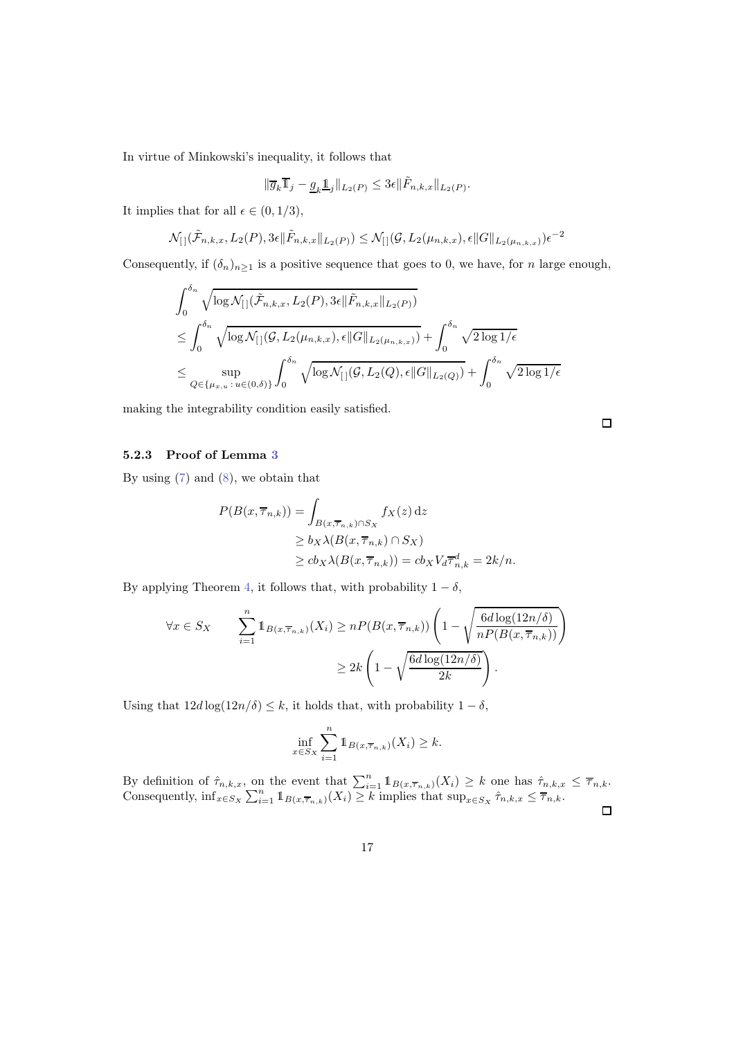In virtue of Minkowski's inequality, it follows that

$$
\|\overline{g}_k \overline{1}_j - \underline{g}_k \underline{1}_j \|_{L_2(P)} \leq 3\epsilon \|\tilde{F}_{n,k,x}\|_{L_2(P)}.
$$

It implies that for all  $\epsilon \in (0, 1/3)$ ,

$$
\mathcal{N}_{[}](\tilde{\mathcal{F}}_{n,k,x}, L_2(P), 3\epsilon \|\tilde{F}_{n,k,x}\|_{L_2(P)}) \leq \mathcal{N}_{[}](\mathcal{G}, L_2(\mu_{n,k,x}), \epsilon \|G\|_{L_2(\mu_{n,k,x})})\epsilon^{-2}
$$

Consequently, if  $(\delta_n)_{n\geq 1}$  is a positive sequence that goes to 0, we have, for n large enough,

$$
\int_0^{\delta_n} \sqrt{\log \mathcal{N}_{[]}(\tilde{\mathcal{F}}_{n,k,x}, L_2(P), 3\epsilon || \tilde{F}_{n,k,x} ||_{L_2(P)})}
$$
\n
$$
\leq \int_0^{\delta_n} \sqrt{\log \mathcal{N}_{[]}(g, L_2(\mu_{n,k,x}), \epsilon ||G||_{L_2(\mu_{n,k,x})})} + \int_0^{\delta_n} \sqrt{2 \log 1/\epsilon}
$$
\n
$$
\leq \sup_{Q \in \{\mu_{x,u} : u \in (0,\delta)\}} \int_0^{\delta_n} \sqrt{\log \mathcal{N}_{[]}(g, L_2(Q), \epsilon ||G||_{L_2(Q)})} + \int_0^{\delta_n} \sqrt{2 \log 1/\epsilon}
$$

making the integrability condition easily satisfied.

 $\Box$ 

## 5.2.3 Proof of Lemma [3](#page-11-0)

By using [\(7\)](#page-6-0) and [\(8\)](#page-6-1), we obtain that

$$
P(B(x, \overline{\tau}_{n,k})) = \int_{B(x, \overline{\tau}_{n,k}) \cap S_X} f_X(z) dz
$$
  
\n
$$
\geq b_X \lambda(B(x, \overline{\tau}_{n,k}) \cap S_X)
$$
  
\n
$$
\geq c b_X \lambda(B(x, \overline{\tau}_{n,k})) = c b_X V_d \overline{\tau}_{n,k}^d = 2k/n.
$$

By applying Theorem [4,](#page-12-1) it follows that, with probability  $1 - \delta$ ,

$$
\forall x \in S_X \qquad \sum_{i=1}^n \mathbb{1}_{B(x,\overline{\tau}_{n,k})}(X_i) \ge n P(B(x,\overline{\tau}_{n,k})) \left(1 - \sqrt{\frac{6d \log(12n/\delta)}{n P(B(x,\overline{\tau}_{n,k}))}}\right) \ge 2k \left(1 - \sqrt{\frac{6d \log(12n/\delta)}{2k}}\right).
$$

Using that  $12d \log(12n/\delta) \leq k$ , it holds that, with probability  $1 - \delta$ ,

$$
\inf_{x \in S_X} \sum_{i=1}^n \mathbb{1}_{B(x,\overline{\tau}_{n,k})}(X_i) \geq k.
$$

By definition of  $\hat{\tau}_{n,k,x}$ , on the event that  $\sum_{i=1}^n \mathbb{1}_{B(x,\overline{\tau}_{n,k})}(X_i) \geq k$  one has  $\hat{\tau}_{n,k,x} \leq \overline{\tau}_{n,k}$ . Consequently,  $\inf_{x \in S_X} \sum_{i=1}^n \mathbb{1}_{B(x, \overline{\tau}_{n,k})}(X_i) \geq k$  implies that  $\sup_{x \in S_X} \hat{\tau}_{n,k,x} \leq \overline{\tau}_{n,k}$ .

 $\Box$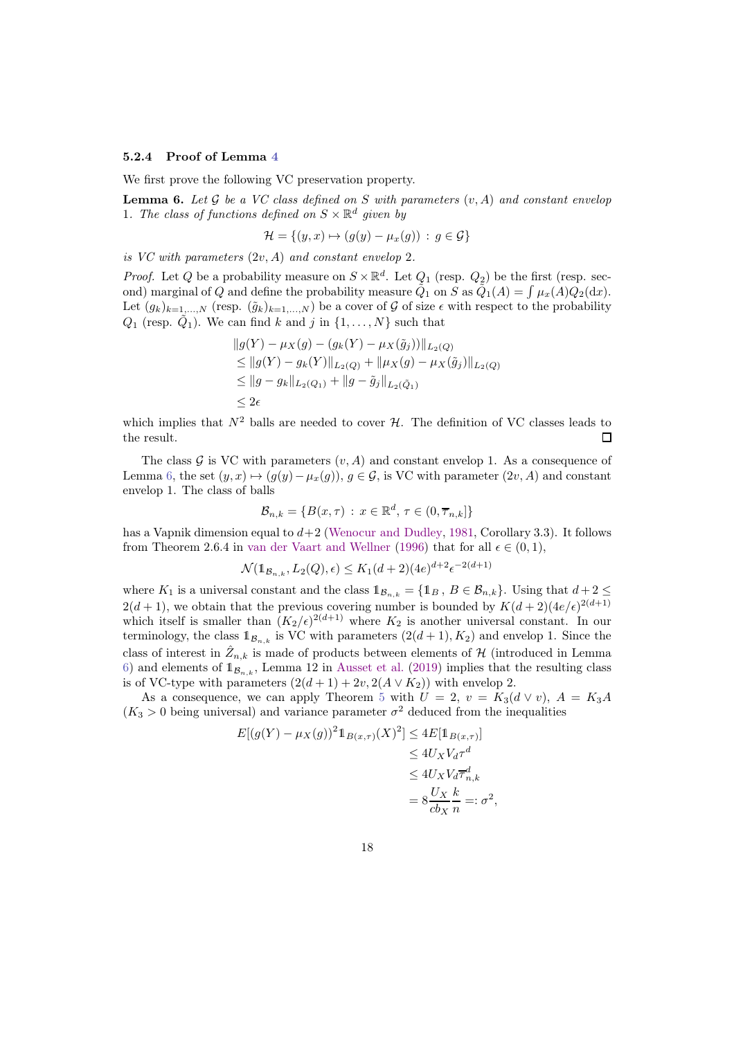### 5.2.4 Proof of Lemma [4](#page-11-1)

We first prove the following VC preservation property.

<span id="page-17-0"></span>**Lemma 6.** Let G be a VC class defined on S with parameters  $(v, A)$  and constant envelop 1. The class of functions defined on  $S \times \mathbb{R}^d$  given by

$$
\mathcal{H} = \{(y, x) \mapsto (g(y) - \mu_x(g)) : g \in \mathcal{G}\}
$$

is VC with parameters  $(2v, A)$  and constant envelop 2.

*Proof.* Let Q be a probability measure on  $S \times \mathbb{R}^d$ . Let  $Q_1$  (resp.  $Q_2$ ) be the first (resp. second) marginal of Q and define the probability measure  $\tilde{Q}_1$  on S as  $\tilde{Q}_1(A) = \int \mu_x(A) Q_2(\mathrm{d}x)$ . Let  $(g_k)_{k=1,\ldots,N}$  (resp.  $(\tilde{g}_k)_{k=1,\ldots,N}$ ) be a cover of G of size  $\epsilon$  with respect to the probability  $Q_1$  (resp.  $\tilde{Q}_1$ ). We can find k and j in  $\{1, \ldots, N\}$  such that

$$
||g(Y) - \mu_X(g) - (g_k(Y) - \mu_X(\tilde{g}_j))||_{L_2(Q)}
$$
  
\n
$$
\leq ||g(Y) - g_k(Y)||_{L_2(Q)} + ||\mu_X(g) - \mu_X(\tilde{g}_j)||_{L_2(Q)}
$$
  
\n
$$
\leq ||g - g_k||_{L_2(Q_1)} + ||g - \tilde{g}_j||_{L_2(\tilde{Q}_1)}
$$
  
\n
$$
\leq 2\epsilon
$$

which implies that  $N^2$  balls are needed to cover  $\mathcal{H}$ . The definition of VC classes leads to the result. the result.

The class  $\mathcal G$  is VC with parameters  $(v, A)$  and constant envelop 1. As a consequence of Lemma [6,](#page-17-0) the set  $(y, x) \mapsto (g(y)-\mu_x(g)), g \in \mathcal{G}$ , is VC with parameter  $(2v, A)$  and constant envelop 1. The class of balls

$$
\mathcal{B}_{n,k} = \{B(x,\tau) \, : \, x \in \mathbb{R}^d, \, \tau \in (0,\overline{\tau}_{n,k}]\}
$$

has a Vapnik dimension equal to  $d+2$  [\(Wenocur and Dudley,](#page-21-4) [1981,](#page-21-4) Corollary 3.3). It follows from Theorem 2.6.4 in [van der Vaart and Wellner](#page-21-2) [\(1996\)](#page-21-2) that for all  $\epsilon \in (0,1)$ ,

$$
\mathcal{N}(\mathbb{1}_{\mathcal{B}_{n,k}}, L_2(Q), \epsilon) \le K_1(d+2)(4e)^{d+2} \epsilon^{-2(d+1)}
$$

where  $K_1$  is a universal constant and the class  $1_{\mathcal{B}_{n,k}} = \{1_B, B \in \mathcal{B}_{n,k}\}\.$  Using that  $d+2 \leq$  $2(d+1)$ , we obtain that the previous covering number is bounded by  $K(d+2)(4e/\epsilon)^{2(d+1)}$ which itself is smaller than  $(K_2/\epsilon)^{2(d+1)}$  where  $K_2$  is another universal constant. In our terminology, the class  $1_{\mathcal{B}_{n,k}}$  is VC with parameters  $(2(d+1), K_2)$  and envelop 1. Since the class of interest in  $\hat{Z}_{n,k}$  is made of products between elements of H (introduced in Lemma [6\)](#page-17-0) and elements of  $\mathbb{1}_{\mathcal{B}_{n,k}}$ , Lemma 12 in [Ausset et al.](#page-19-14) [\(2019\)](#page-19-14) implies that the resulting class is of VC-type with parameters  $(2(d+1) + 2v, 2(A \vee K_2))$  with envelop 2.

As a consequence, we can apply Theorem [5](#page-13-0) with  $U = 2$ ,  $v = K_3(d \vee v)$ ,  $A = K_3A$  $(K_3 > 0$  being universal) and variance parameter  $\sigma^2$  deduced from the inequalities

$$
E[(g(Y) - \mu_X(g))^2 \mathbb{1}_{B(x,\tau)}(X)^2] \le 4E[\mathbb{1}_{B(x,\tau)}]
$$
  
\n
$$
\le 4U_X V_d \tau^d
$$
  
\n
$$
\le 4U_X V_d \tau^d
$$
  
\n
$$
= 8 \frac{U_X k}{cb_X n} =: \sigma^2
$$

,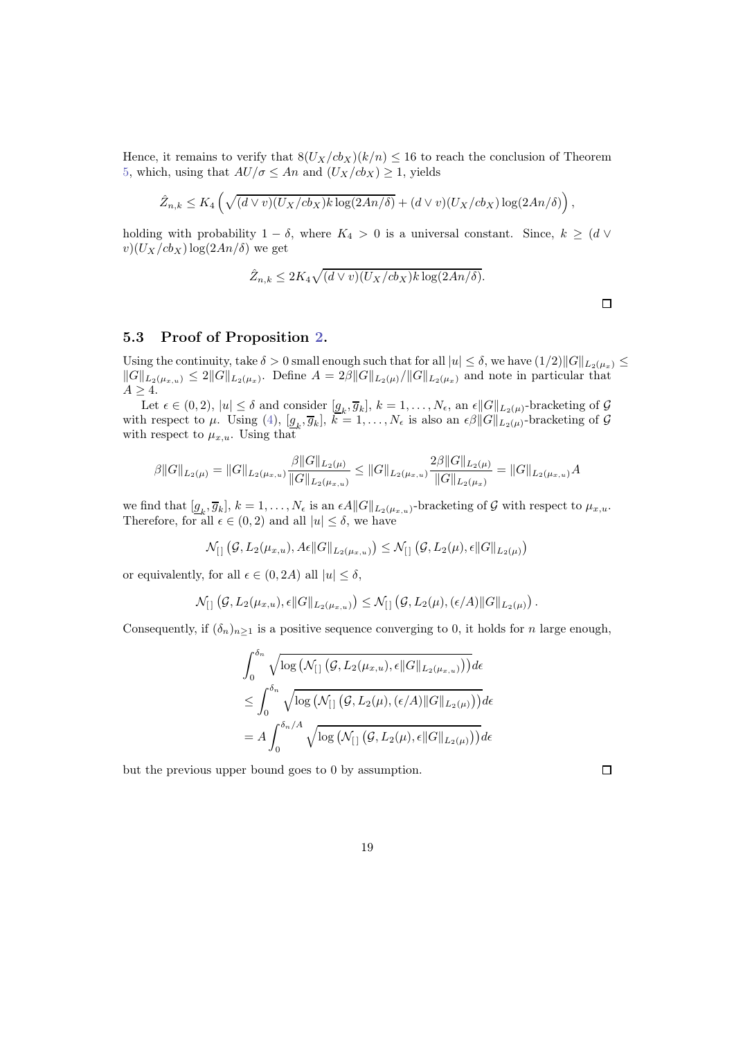Hence, it remains to verify that  $8(U_X/cb_X)(k/n) \le 16$  to reach the conclusion of Theorem [5,](#page-13-0) which, using that  $AU/\sigma \leq An$  and  $(U_X/cb_X) \geq 1$ , yields

$$
\hat{Z}_{n,k} \leq K_4 \left( \sqrt{(d \vee v)(U_X/cb_X)k \log(2An/\delta)} + (d \vee v)(U_X/cb_X) \log(2An/\delta) \right),
$$

holding with probability  $1 - \delta$ , where  $K_4 > 0$  is a universal constant. Since,  $k \geq (d \vee$  $v)(U_X/cb_X) \log(2An/\delta)$  we get

$$
\hat{Z}_{n,k} \leq 2K_4\sqrt{(d \vee v)(U_X/cb_X)k \log(2An/\delta)}.
$$

 $\Box$ 

### <span id="page-18-0"></span>5.3 Proof of Proposition [2.](#page-5-3)

Using the continuity, take  $\delta > 0$  small enough such that for all  $|u| \leq \delta$ , we have  $(1/2)||G||_{L_2(\mu_x)} \leq$  $||G||_{L_2(\mu_{x,u})} \leq 2||G||_{L_2(\mu_x)}$ . Define  $A = 2\beta ||G||_{L_2(\mu)}/||G||_{L_2(\mu_x)}$  and note in particular that  $A \geq 4$ .

Let  $\epsilon \in (0, 2)$ ,  $|u| \leq \delta$  and consider  $[g_k, \overline{g}_k]$ ,  $k = 1, \ldots, N_{\epsilon}$ , an  $\epsilon ||G||_{L_2(\mu)}$ -bracketing of  $\mathcal{G}$ with respect to  $\mu$ . Using [\(4\)](#page-5-1),  $[g_k, \overline{g}_k]$ ,  $k = 1, \ldots, N_{\epsilon}$  is also an  $\epsilon \beta ||G||_{L_2(\mu)}$ -bracketing of  $\mathcal G$ with respect to  $\mu_{x,u}$ . Using that

$$
\beta ||G||_{L_2(\mu)} = ||G||_{L_2(\mu_{x,u})} \frac{\beta ||G||_{L_2(\mu)}}{||G||_{L_2(\mu_{x,u})}} \le ||G||_{L_2(\mu_{x,u})} \frac{2\beta ||G||_{L_2(\mu)}}{||G||_{L_2(\mu_x)}} = ||G||_{L_2(\mu_{x,u})} A
$$

we find that  $[g_k, \overline{g}_k], k = 1, \ldots, N_{\epsilon}$  is an  $\epsilon A \|G\|_{L_2(\mu_{x,u})}$ -bracketing of G with respect to  $\mu_{x,u}$ . Therefore, for all  $\epsilon \in (0, 2)$  and all  $|u| \leq \delta$ , we have

$$
\mathcal{N}_{[]}(\mathcal{G}, L_2(\mu_{x,u}), A\epsilon \|G\|_{L_2(\mu_{x,u})}) \leq \mathcal{N}_{[]}(\mathcal{G}, L_2(\mu), \epsilon \|G\|_{L_2(\mu)})
$$

or equivalently, for all  $\epsilon \in (0, 2A)$  all  $|u| \leq \delta$ ,

$$
\mathcal{N}_{[]}\left(\mathcal{G}, L_2(\mu_{x,u}), \epsilon \|G\|_{L_2(\mu_{x,u})}\right) \leq \mathcal{N}_{[]}\left(\mathcal{G}, L_2(\mu), (\epsilon/A) \|G\|_{L_2(\mu)}\right).
$$

Consequently, if  $(\delta_n)_{n\geq 1}$  is a positive sequence converging to 0, it holds for *n* large enough,

$$
\int_0^{\delta_n} \sqrt{\log \left( \mathcal{N}_{[]} \left( \mathcal{G}, L_2(\mu_{x,u}), \epsilon \| G \|_{L_2(\mu_{x,u})} \right) \right)} d\epsilon
$$
  
\n
$$
\leq \int_0^{\delta_n} \sqrt{\log \left( \mathcal{N}_{[]} \left( \mathcal{G}, L_2(\mu), \epsilon / A \right) \| G \|_{L_2(\mu)} \right)} d\epsilon
$$
  
\n
$$
= A \int_0^{\delta_n / A} \sqrt{\log \left( \mathcal{N}_{[]} \left( \mathcal{G}, L_2(\mu), \epsilon \| G \|_{L_2(\mu)} \right) \right)} d\epsilon
$$

but the previous upper bound goes to 0 by assumption.

 $\Box$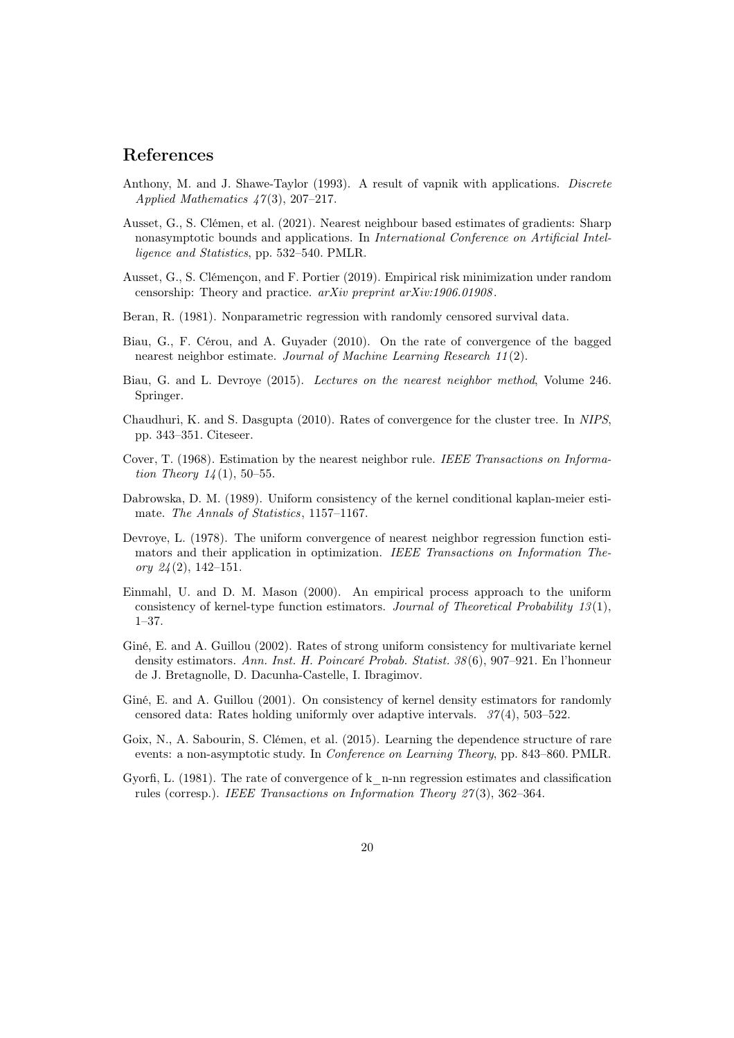# References

- <span id="page-19-10"></span>Anthony, M. and J. Shawe-Taylor (1993). A result of vapnik with applications. Discrete Applied Mathematics 47(3), 207–217.
- <span id="page-19-0"></span>Ausset, G., S. Clémen, et al. (2021). Nearest neighbour based estimates of gradients: Sharp nonasymptotic bounds and applications. In International Conference on Artificial Intelligence and Statistics, pp. 532–540. PMLR.
- <span id="page-19-14"></span>Ausset, G., S. Clémençon, and F. Portier (2019). Empirical risk minimization under random censorship: Theory and practice. arXiv preprint arXiv:1906.01908.
- <span id="page-19-6"></span>Beran, R. (1981). Nonparametric regression with randomly censored survival data.
- <span id="page-19-4"></span>Biau, G., F. Cérou, and A. Guyader (2010). On the rate of convergence of the bagged nearest neighbor estimate. Journal of Machine Learning Research 11(2).
- <span id="page-19-5"></span>Biau, G. and L. Devroye (2015). Lectures on the nearest neighbor method, Volume 246. Springer.
- <span id="page-19-11"></span>Chaudhuri, K. and S. Dasgupta (2010). Rates of convergence for the cluster tree. In NIPS, pp. 343–351. Citeseer.
- <span id="page-19-1"></span>Cover, T. (1968). Estimation by the nearest neighbor rule. IEEE Transactions on Information Theory  $14(1)$ , 50–55.
- <span id="page-19-7"></span>Dabrowska, D. M. (1989). Uniform consistency of the kernel conditional kaplan-meier estimate. The Annals of Statistics, 1157-1167.
- <span id="page-19-2"></span>Devroye, L. (1978). The uniform convergence of nearest neighbor regression function estimators and their application in optimization. IEEE Transactions on Information Theory  $24(2)$ , 142-151.
- <span id="page-19-9"></span>Einmahl, U. and D. M. Mason (2000). An empirical process approach to the uniform consistency of kernel-type function estimators. Journal of Theoretical Probability 13(1), 1–37.
- <span id="page-19-8"></span>Giné, E. and A. Guillou (2002). Rates of strong uniform consistency for multivariate kernel density estimators. Ann. Inst. H. Poincaré Probab. Statist. 38(6), 907–921. En l'honneur de J. Bretagnolle, D. Dacunha-Castelle, I. Ibragimov.
- <span id="page-19-13"></span>Giné, E. and A. Guillou (2001). On consistency of kernel density estimators for randomly censored data: Rates holding uniformly over adaptive intervals. 37(4), 503–522.
- <span id="page-19-12"></span>Goix, N., A. Sabourin, S. Clémen, et al. (2015). Learning the dependence structure of rare events: a non-asymptotic study. In Conference on Learning Theory, pp. 843–860. PMLR.
- <span id="page-19-3"></span>Gyorfi, L. (1981). The rate of convergence of k\_n-nn regression estimates and classification rules (corresp.). IEEE Transactions on Information Theory 27(3), 362–364.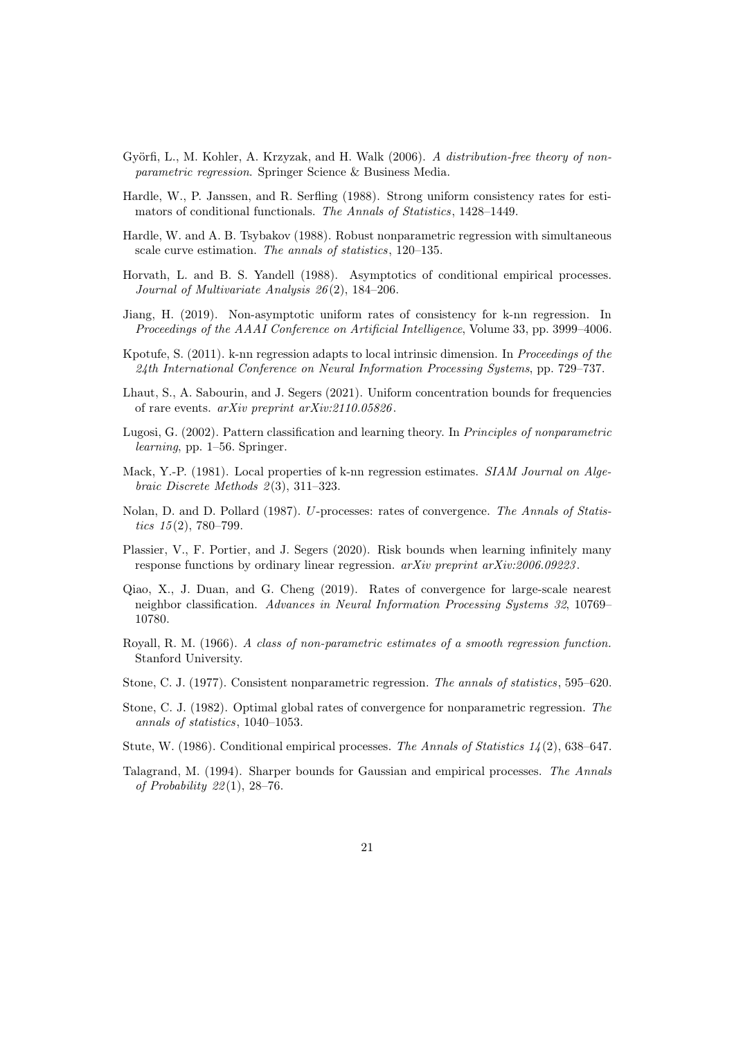- <span id="page-20-7"></span>Györfi, L., M. Kohler, A. Krzyzak, and H. Walk (2006). A distribution-free theory of nonparametric regression. Springer Science & Business Media.
- <span id="page-20-14"></span>Hardle, W., P. Janssen, and R. Serfling (1988). Strong uniform consistency rates for estimators of conditional functionals. The Annals of Statistics, 1428–1449.
- <span id="page-20-8"></span>Hardle, W. and A. B. Tsybakov (1988). Robust nonparametric regression with simultaneous scale curve estimation. The annals of statistics, 120–135.
- <span id="page-20-13"></span>Horvath, L. and B. S. Yandell (1988). Asymptotics of conditional empirical processes. Journal of Multivariate Analysis 26(2), 184–206.
- <span id="page-20-0"></span>Jiang, H. (2019). Non-asymptotic uniform rates of consistency for k-nn regression. In Proceedings of the AAAI Conference on Artificial Intelligence, Volume 33, pp. 3999–4006.
- <span id="page-20-1"></span>Kpotufe, S. (2011). k-nn regression adapts to local intrinsic dimension. In *Proceedings of the* 24th International Conference on Neural Information Processing Systems, pp. 729–737.
- <span id="page-20-15"></span>Lhaut, S., A. Sabourin, and J. Segers (2021). Uniform concentration bounds for frequencies of rare events. arXiv preprint arXiv:2110.05826.
- <span id="page-20-16"></span>Lugosi, G. (2002). Pattern classification and learning theory. In Principles of nonparametric learning, pp. 1–56. Springer.
- <span id="page-20-2"></span>Mack, Y.-P. (1981). Local properties of k-nn regression estimates. SIAM Journal on Algebraic Discrete Methods 2(3), 311–323.
- <span id="page-20-9"></span>Nolan, D. and D. Pollard (1987). U-processes: rates of convergence. The Annals of Statistics 15(2), 780–799.
- <span id="page-20-10"></span>Plassier, V., F. Portier, and J. Segers (2020). Risk bounds when learning infinitely many response functions by ordinary linear regression. arXiv preprint arXiv:2006.09223.
- <span id="page-20-3"></span>Qiao, X., J. Duan, and G. Cheng (2019). Rates of convergence for large-scale nearest neighbor classification. Advances in Neural Information Processing Systems 32, 10769– 10780.
- <span id="page-20-4"></span>Royall, R. M. (1966). A class of non-parametric estimates of a smooth regression function. Stanford University.
- <span id="page-20-5"></span>Stone, C. J. (1977). Consistent nonparametric regression. The annals of statistics, 595–620.
- <span id="page-20-6"></span>Stone, C. J. (1982). Optimal global rates of convergence for nonparametric regression. The annals of statistics, 1040–1053.
- <span id="page-20-12"></span>Stute, W. (1986). Conditional empirical processes. The Annals of Statistics  $1/4(2)$ , 638–647.
- <span id="page-20-11"></span>Talagrand, M. (1994). Sharper bounds for Gaussian and empirical processes. The Annals of Probability 22(1), 28–76.